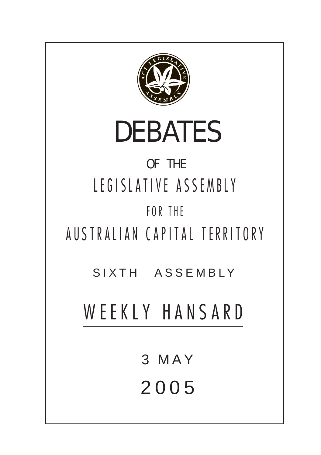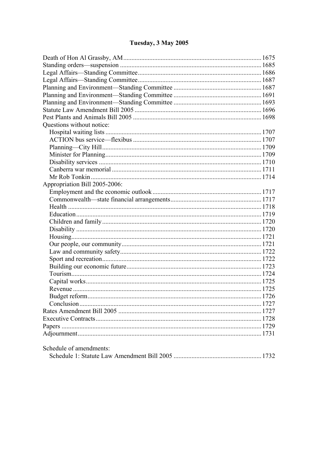# Tuesday, 3 May 2005

| Questions without notice:     |  |
|-------------------------------|--|
|                               |  |
|                               |  |
|                               |  |
|                               |  |
|                               |  |
|                               |  |
|                               |  |
| Appropriation Bill 2005-2006: |  |
|                               |  |
|                               |  |
|                               |  |
|                               |  |
|                               |  |
|                               |  |
|                               |  |
|                               |  |
|                               |  |
|                               |  |
|                               |  |
|                               |  |
|                               |  |
|                               |  |
|                               |  |
|                               |  |
|                               |  |
|                               |  |
|                               |  |
|                               |  |
|                               |  |
| Schedule of amendments:       |  |
|                               |  |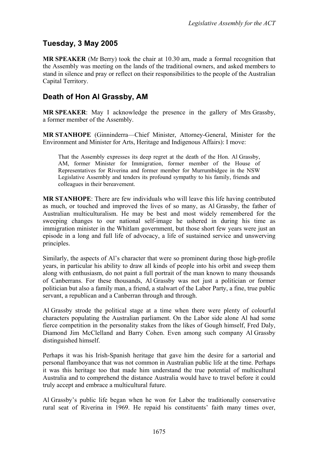## **Tuesday, 3 May 2005**

**MR SPEAKER** (Mr Berry) took the chair at 10.30 am, made a formal recognition that the Assembly was meeting on the lands of the traditional owners, and asked members to stand in silence and pray or reflect on their responsibilities to the people of the Australian Capital Territory.

## <span id="page-2-0"></span>**Death of Hon Al Grassby, AM**

**MR SPEAKER**: May I acknowledge the presence in the gallery of Mrs Grassby, a former member of the Assembly.

**MR STANHOPE** (Ginninderra—Chief Minister, Attorney-General, Minister for the Environment and Minister for Arts, Heritage and Indigenous Affairs): I move:

That the Assembly expresses its deep regret at the death of the Hon. Al Grassby, AM, former Minister for Immigration, former member of the House of Representatives for Riverina and former member for Murrumbidgee in the NSW Legislative Assembly and tenders its profound sympathy to his family, friends and colleagues in their bereavement.

**MR STANHOPE**: There are few individuals who will leave this life having contributed as much, or touched and improved the lives of so many, as Al Grassby, the father of Australian multiculturalism. He may be best and most widely remembered for the sweeping changes to our national self-image he ushered in during his time as immigration minister in the Whitlam government, but those short few years were just an episode in a long and full life of advocacy, a life of sustained service and unswerving principles.

Similarly, the aspects of Al's character that were so prominent during those high-profile years, in particular his ability to draw all kinds of people into his orbit and sweep them along with enthusiasm, do not paint a full portrait of the man known to many thousands of Canberrans. For these thousands, Al Grassby was not just a politician or former politician but also a family man, a friend, a stalwart of the Labor Party, a fine, true public servant, a republican and a Canberran through and through.

Al Grassby strode the political stage at a time when there were plenty of colourful characters populating the Australian parliament. On the Labor side alone Al had some fierce competition in the personality stakes from the likes of Gough himself, Fred Daly, Diamond Jim McClelland and Barry Cohen. Even among such company Al Grassby distinguished himself.

Perhaps it was his Irish-Spanish heritage that gave him the desire for a sartorial and personal flamboyance that was not common in Australian public life at the time. Perhaps it was this heritage too that made him understand the true potential of multicultural Australia and to comprehend the distance Australia would have to travel before it could truly accept and embrace a multicultural future.

Al Grassby's public life began when he won for Labor the traditionally conservative rural seat of Riverina in 1969. He repaid his constituents' faith many times over,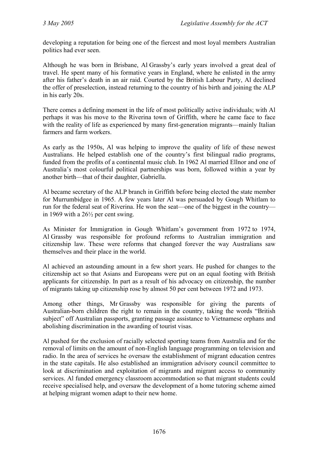developing a reputation for being one of the fiercest and most loyal members Australian politics had ever seen.

Although he was born in Brisbane, Al Grassby's early years involved a great deal of travel. He spent many of his formative years in England, where he enlisted in the army after his father's death in an air raid. Courted by the British Labour Party, Al declined the offer of preselection, instead returning to the country of his birth and joining the ALP in his early 20s.

There comes a defining moment in the life of most politically active individuals; with Al perhaps it was his move to the Riverina town of Griffith, where he came face to face with the reality of life as experienced by many first-generation migrants—mainly Italian farmers and farm workers.

As early as the 1950s, Al was helping to improve the quality of life of these newest Australians. He helped establish one of the country's first bilingual radio programs, funded from the profits of a continental music club. In 1962 Al married Ellnor and one of Australia's most colourful political partnerships was born, followed within a year by another birth—that of their daughter, Gabriella.

Al became secretary of the ALP branch in Griffith before being elected the state member for Murrumbidgee in 1965. A few years later Al was persuaded by Gough Whitlam to run for the federal seat of Riverina. He won the seat—one of the biggest in the country in 1969 with a 26½ per cent swing.

As Minister for Immigration in Gough Whitlam's government from 1972 to 1974, Al Grassby was responsible for profound reforms to Australian immigration and citizenship law. These were reforms that changed forever the way Australians saw themselves and their place in the world.

Al achieved an astounding amount in a few short years. He pushed for changes to the citizenship act so that Asians and Europeans were put on an equal footing with British applicants for citizenship. In part as a result of his advocacy on citizenship, the number of migrants taking up citizenship rose by almost 50 per cent between 1972 and 1973.

Among other things, Mr Grassby was responsible for giving the parents of Australian-born children the right to remain in the country, taking the words "British subject" off Australian passports, granting passage assistance to Vietnamese orphans and abolishing discrimination in the awarding of tourist visas.

Al pushed for the exclusion of racially selected sporting teams from Australia and for the removal of limits on the amount of non-English language programming on television and radio. In the area of services he oversaw the establishment of migrant education centres in the state capitals. He also established an immigration advisory council committee to look at discrimination and exploitation of migrants and migrant access to community services. Al funded emergency classroom accommodation so that migrant students could receive specialised help, and oversaw the development of a home tutoring scheme aimed at helping migrant women adapt to their new home.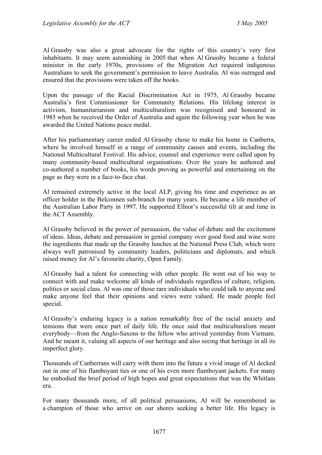Al Grassby was also a great advocate for the rights of this country's very first inhabitants. It may seem astonishing in 2005 that when Al Grassby became a federal minister in the early 1970s, provisions of the Migration Act required indigenous Australians to seek the government's permission to leave Australia. Al was outraged and ensured that the provisions were taken off the books.

Upon the passage of the Racial Discrimination Act in 1975, Al Grassby became Australia's first Commissioner for Community Relations. His lifelong interest in activism, humanitarianism and multiculturalism was recognised and honoured in 1985 when he received the Order of Australia and again the following year when he was awarded the United Nations peace medal.

After his parliamentary career ended Al Grassby chose to make his home in Canberra, where he involved himself in a range of community causes and events, including the National Multicultural Festival. His advice, counsel and experience were called upon by many community-based multicultural organisations. Over the years he authored and co-authored a number of books, his words proving as powerful and entertaining on the page as they were in a face-to-face chat.

Al remained extremely active in the local ALP, giving his time and experience as an officer holder in the Belconnen sub-branch for many years. He became a life member of the Australian Labor Party in 1997. He supported Ellnor's successful tilt at and time in the ACT Assembly.

Al Grassby believed in the power of persuasion, the value of debate and the excitement of ideas. Ideas, debate and persuasion in genial company over good food and wine were the ingredients that made up the Grassby lunches at the National Press Club, which were always well patronised by community leaders, politicians and diplomats, and which raised money for Al's favourite charity, Open Family.

Al Grassby had a talent for connecting with other people. He went out of his way to connect with and make welcome all kinds of individuals regardless of culture, religion, politics or social class. Al was one of those rare individuals who could talk to anyone and make anyone feel that their opinions and views were valued. He made people feel special.

Al Grassby's enduring legacy is a nation remarkably free of the racial anxiety and tensions that were once part of daily life. He once said that multiculturalism meant everybody—from the Anglo-Saxons to the fellow who arrived yesterday from Vietnam. And he meant it, valuing all aspects of our heritage and also seeing that heritage in all its imperfect glory.

Thousands of Canberrans will carry with them into the future a vivid image of Al decked out in one of his flamboyant ties or one of his even more flamboyant jackets. For many he embodied the brief period of high hopes and great expectations that was the Whitlam era.

For many thousands more, of all political persuasions, Al will be remembered as a champion of those who arrive on our shores seeking a better life. His legacy is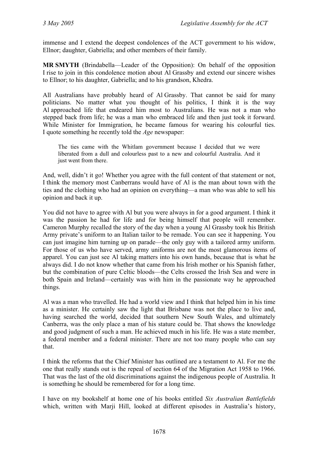immense and I extend the deepest condolences of the ACT government to his widow, Ellnor; daughter, Gabriella; and other members of their family.

**MR SMYTH** (Brindabella—Leader of the Opposition): On behalf of the opposition I rise to join in this condolence motion about Al Grassby and extend our sincere wishes to Ellnor; to his daughter, Gabriella; and to his grandson, Khedra.

All Australians have probably heard of Al Grassby. That cannot be said for many politicians. No matter what you thought of his politics, I think it is the way Al approached life that endeared him most to Australians. He was not a man who stepped back from life; he was a man who embraced life and then just took it forward. While Minister for Immigration, he became famous for wearing his colourful ties. I quote something he recently told the *Age* newspaper:

The ties came with the Whitlam government because I decided that we were liberated from a dull and colourless past to a new and colourful Australia. And it just went from there.

And, well, didn't it go! Whether you agree with the full content of that statement or not, I think the memory most Canberrans would have of Al is the man about town with the ties and the clothing who had an opinion on everything—a man who was able to sell his opinion and back it up.

You did not have to agree with Al but you were always in for a good argument. I think it was the passion he had for life and for being himself that people will remember. Cameron Murphy recalled the story of the day when a young Al Grassby took his British Army private's uniform to an Italian tailor to be remade. You can see it happening. You can just imagine him turning up on parade—the only guy with a tailored army uniform. For those of us who have served, army uniforms are not the most glamorous items of apparel. You can just see Al taking matters into his own hands, because that is what he always did. I do not know whether that came from his Irish mother or his Spanish father, but the combination of pure Celtic bloods—the Celts crossed the Irish Sea and were in both Spain and Ireland—certainly was with him in the passionate way he approached things.

Al was a man who travelled. He had a world view and I think that helped him in his time as a minister. He certainly saw the light that Brisbane was not the place to live and, having searched the world, decided that southern New South Wales, and ultimately Canberra, was the only place a man of his stature could be. That shows the knowledge and good judgment of such a man. He achieved much in his life. He was a state member, a federal member and a federal minister. There are not too many people who can say that.

I think the reforms that the Chief Minister has outlined are a testament to Al. For me the one that really stands out is the repeal of section 64 of the Migration Act 1958 to 1966. That was the last of the old discriminations against the indigenous people of Australia. It is something he should be remembered for for a long time.

I have on my bookshelf at home one of his books entitled *Six Australian Battlefields* which, written with Marji Hill, looked at different episodes in Australia's history,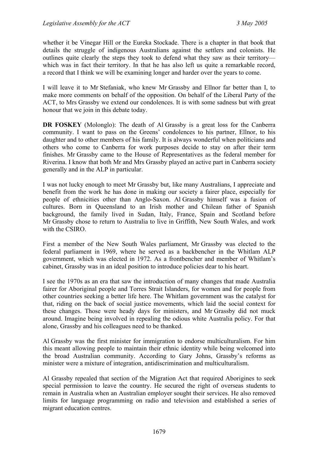whether it be Vinegar Hill or the Eureka Stockade. There is a chapter in that book that details the struggle of indigenous Australians against the settlers and colonists. He outlines quite clearly the steps they took to defend what they saw as their territory which was in fact their territory. In that he has also left us quite a remarkable record, a record that I think we will be examining longer and harder over the years to come.

I will leave it to Mr Stefaniak, who knew Mr Grassby and Ellnor far better than I, to make more comments on behalf of the opposition. On behalf of the Liberal Party of the ACT, to Mrs Grassby we extend our condolences. It is with some sadness but with great honour that we join in this debate today.

**DR FOSKEY** (Molonglo): The death of Al Grassby is a great loss for the Canberra community. I want to pass on the Greens' condolences to his partner, Ellnor, to his daughter and to other members of his family. It is always wonderful when politicians and others who come to Canberra for work purposes decide to stay on after their term finishes. Mr Grassby came to the House of Representatives as the federal member for Riverina. I know that both Mr and Mrs Grassby played an active part in Canberra society generally and in the ALP in particular.

I was not lucky enough to meet Mr Grassby but, like many Australians, I appreciate and benefit from the work he has done in making our society a fairer place, especially for people of ethnicities other than Anglo-Saxon. Al Grassby himself was a fusion of cultures. Born in Queensland to an Irish mother and Chilean father of Spanish background, the family lived in Sudan, Italy, France, Spain and Scotland before Mr Grassby chose to return to Australia to live in Griffith, New South Wales, and work with the CSIRO.

First a member of the New South Wales parliament, Mr Grassby was elected to the federal parliament in 1969, where he served as a backbencher in the Whitlam ALP government, which was elected in 1972. As a frontbencher and member of Whitlam's cabinet, Grassby was in an ideal position to introduce policies dear to his heart.

I see the 1970s as an era that saw the introduction of many changes that made Australia fairer for Aboriginal people and Torres Strait Islanders, for women and for people from other countries seeking a better life here. The Whitlam government was the catalyst for that, riding on the back of social justice movements, which laid the social context for these changes. Those were heady days for ministers, and Mr Grassby did not muck around. Imagine being involved in repealing the odious white Australia policy. For that alone, Grassby and his colleagues need to be thanked.

Al Grassby was the first minister for immigration to endorse multiculturalism. For him this meant allowing people to maintain their ethnic identity while being welcomed into the broad Australian community. According to Gary Johns, Grassby's reforms as minister were a mixture of integration, antidiscrimination and multiculturalism.

Al Grassby repealed that section of the Migration Act that required Aborigines to seek special permission to leave the country. He secured the right of overseas students to remain in Australia when an Australian employer sought their services. He also removed limits for language programming on radio and television and established a series of migrant education centres.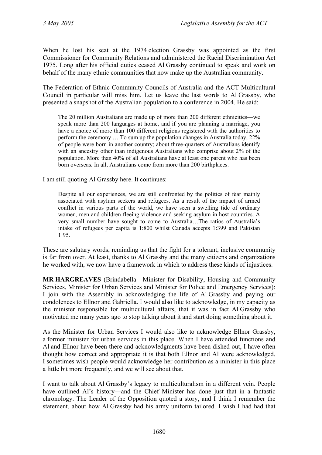When he lost his seat at the 1974 election Grassby was appointed as the first Commissioner for Community Relations and administered the Racial Discrimination Act 1975. Long after his official duties ceased Al Grassby continued to speak and work on behalf of the many ethnic communities that now make up the Australian community.

The Federation of Ethnic Community Councils of Australia and the ACT Multicultural Council in particular will miss him. Let us leave the last words to Al Grassby, who presented a snapshot of the Australian population to a conference in 2004. He said:

The 20 million Australians are made up of more than 200 different ethnicities—we speak more than 200 languages at home, and if you are planning a marriage, you have a choice of more than 100 different religions registered with the authorities to perform the ceremony … To sum up the population changes in Australia today, 22% of people were born in another country; about three-quarters of Australians identify with an ancestry other than indigenous Australians who comprise about 2% of the population. More than 40% of all Australians have at least one parent who has been born overseas. In all, Australians come from more than 200 birthplaces.

I am still quoting Al Grassby here. It continues:

Despite all our experiences, we are still confronted by the politics of fear mainly associated with asylum seekers and refugees. As a result of the impact of armed conflict in various parts of the world, we have seen a swelling tide of ordinary women, men and children fleeing violence and seeking asylum in host countries. A very small number have sought to come to Australia…The ratios of Australia's intake of refugees per capita is 1:800 whilst Canada accepts 1:399 and Pakistan 1:95.

These are salutary words, reminding us that the fight for a tolerant, inclusive community is far from over. At least, thanks to Al Grassby and the many citizens and organizations he worked with, we now have a framework in which to address these kinds of injustices.

**MR HARGREAVES** (Brindabella—Minister for Disability, Housing and Community Services, Minister for Urban Services and Minister for Police and Emergency Services): I join with the Assembly in acknowledging the life of Al Grassby and paying our condolences to Ellnor and Gabriella. I would also like to acknowledge, in my capacity as the minister responsible for multicultural affairs, that it was in fact Al Grassby who motivated me many years ago to stop talking about it and start doing something about it.

As the Minister for Urban Services I would also like to acknowledge Ellnor Grassby, a former minister for urban services in this place. When I have attended functions and Al and Ellnor have been there and acknowledgments have been dished out, I have often thought how correct and appropriate it is that both Ellnor and Al were acknowledged. I sometimes wish people would acknowledge her contribution as a minister in this place a little bit more frequently, and we will see about that.

I want to talk about Al Grassby's legacy to multiculturalism in a different vein. People have outlined Al's history—and the Chief Minister has done just that in a fantastic chronology. The Leader of the Opposition quoted a story, and I think I remember the statement, about how Al Grassby had his army uniform tailored. I wish I had had that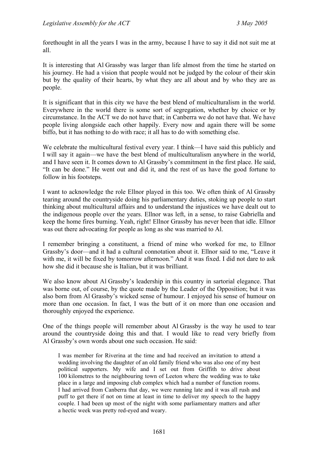forethought in all the years I was in the army, because I have to say it did not suit me at all.

It is interesting that Al Grassby was larger than life almost from the time he started on his journey. He had a vision that people would not be judged by the colour of their skin but by the quality of their hearts, by what they are all about and by who they are as people.

It is significant that in this city we have the best blend of multiculturalism in the world. Everywhere in the world there is some sort of segregation, whether by choice or by circumstance. In the ACT we do not have that; in Canberra we do not have that. We have people living alongside each other happily. Every now and again there will be some biffo, but it has nothing to do with race; it all has to do with something else.

We celebrate the multicultural festival every year. I think—I have said this publicly and I will say it again—we have the best blend of multiculturalism anywhere in the world, and I have seen it. It comes down to Al Grassby's commitment in the first place. He said, "It can be done." He went out and did it, and the rest of us have the good fortune to follow in his footsteps.

I want to acknowledge the role Ellnor played in this too. We often think of Al Grassby tearing around the countryside doing his parliamentary duties, stoking up people to start thinking about multicultural affairs and to understand the injustices we have dealt out to the indigenous people over the years. Ellnor was left, in a sense, to raise Gabriella and keep the home fires burning. Yeah, right! Ellnor Grassby has never been that idle. Ellnor was out there advocating for people as long as she was married to Al.

I remember bringing a constituent, a friend of mine who worked for me, to Ellnor Grassby's door—and it had a cultural connotation about it. Ellnor said to me, "Leave it with me, it will be fixed by tomorrow afternoon." And it was fixed. I did not dare to ask how she did it because she is Italian, but it was brilliant.

We also know about Al Grassby's leadership in this country in sartorial elegance. That was borne out, of course, by the quote made by the Leader of the Opposition; but it was also born from Al Grassby's wicked sense of humour. I enjoyed his sense of humour on more than one occasion. In fact, I was the butt of it on more than one occasion and thoroughly enjoyed the experience.

One of the things people will remember about Al Grassby is the way he used to tear around the countryside doing this and that. I would like to read very briefly from Al Grassby's own words about one such occasion. He said:

I was member for Riverina at the time and had received an invitation to attend a wedding involving the daughter of an old family friend who was also one of my best political supporters. My wife and I set out from Griffith to drive about 100 kilometres to the neighbouring town of Leeton where the wedding was to take place in a large and imposing club complex which had a number of function rooms. I had arrived from Canberra that day, we were running late and it was all rush and puff to get there if not on time at least in time to deliver my speech to the happy couple. I had been up most of the night with some parliamentary matters and after a hectic week was pretty red-eyed and weary.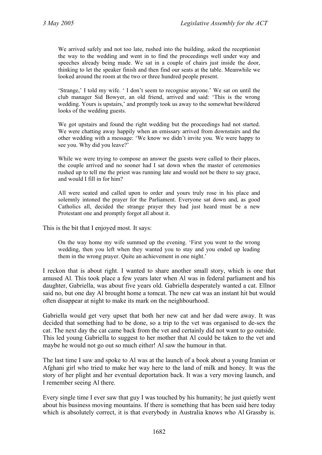We arrived safely and not too late, rushed into the building, asked the receptionist the way to the wedding and went in to find the proceedings well under way and speeches already being made. We sat in a couple of chairs just inside the door, thinking to let the speaker finish and then find our seats at the table. Meanwhile we looked around the room at the two or three hundred people present.

'Strange,' I told my wife. ' I don't seem to recognise anyone.' We sat on until the club manager Sid Bowyer, an old friend, arrived and said: 'This is the wrong wedding. Yours is upstairs,' and promptly took us away to the somewhat bewildered looks of the wedding guests.

We got upstairs and found the right wedding but the proceedings had not started. We were chatting away happily when an emissary arrived from downstairs and the other wedding with a message: 'We know we didn't invite you. We were happy to see you. Why did you leave?'

While we were trying to compose an answer the guests were called to their places, the couple arrived and no sooner had I sat down when the master of ceremonies rushed up to tell me the priest was running late and would not be there to say grace, and would I fill in for him?

All were seated and called upon to order and yours truly rose in his place and solemnly intoned the prayer for the Parliament. Everyone sat down and, as good Catholics all, decided the strange prayer they had just heard must be a new Protestant one and promptly forgot all about it.

This is the bit that I enjoyed most. It says:

On the way home my wife summed up the evening. 'First you went to the wrong wedding, then you left when they wanted you to stay and you ended up leading them in the wrong prayer. Quite an achievement in one night.'

I reckon that is about right. I wanted to share another small story, which is one that amused Al. This took place a few years later when Al was in federal parliament and his daughter, Gabriella, was about five years old. Gabriella desperately wanted a cat. Ellnor said no, but one day Al brought home a tomcat. The new cat was an instant hit but would often disappear at night to make its mark on the neighbourhood.

Gabriella would get very upset that both her new cat and her dad were away. It was decided that something had to be done, so a trip to the vet was organised to de-sex the cat. The next day the cat came back from the vet and certainly did not want to go outside. This led young Gabriella to suggest to her mother that Al could be taken to the vet and maybe he would not go out so much either! Al saw the humour in that.

The last time I saw and spoke to Al was at the launch of a book about a young Iranian or Afghani girl who tried to make her way here to the land of milk and honey. It was the story of her plight and her eventual deportation back. It was a very moving launch, and I remember seeing Al there.

Every single time I ever saw that guy I was touched by his humanity; he just quietly went about his business moving mountains. If there is something that has been said here today which is absolutely correct, it is that everybody in Australia knows who Al Grassby is.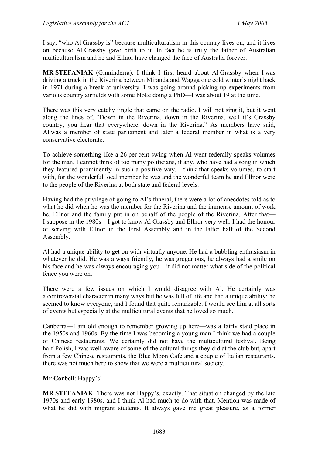I say, "who Al Grassby is" because multiculturalism in this country lives on, and it lives on because Al Grassby gave birth to it. In fact he is truly the father of Australian multiculturalism and he and Ellnor have changed the face of Australia forever.

**MR STEFANIAK** (Ginninderra): I think I first heard about Al Grassby when I was driving a truck in the Riverina between Miranda and Wagga one cold winter's night back in 1971 during a break at university. I was going around picking up experiments from various country airfields with some bloke doing a PhD—I was about 19 at the time.

There was this very catchy jingle that came on the radio. I will not sing it, but it went along the lines of, "Down in the Riverina, down in the Riverina, well it's Grassby country, you hear that everywhere, down in the Riverina." As members have said, Al was a member of state parliament and later a federal member in what is a very conservative electorate.

To achieve something like a 26 per cent swing when Al went federally speaks volumes for the man. I cannot think of too many politicians, if any, who have had a song in which they featured prominently in such a positive way. I think that speaks volumes, to start with, for the wonderful local member he was and the wonderful team he and Ellnor were to the people of the Riverina at both state and federal levels.

Having had the privilege of going to Al's funeral, there were a lot of anecdotes told as to what he did when he was the member for the Riverina and the immense amount of work he, Ellnor and the family put in on behalf of the people of the Riverina. After that— I suppose in the 1980s—I got to know Al Grassby and Ellnor very well. I had the honour of serving with Ellnor in the First Assembly and in the latter half of the Second Assembly.

Al had a unique ability to get on with virtually anyone. He had a bubbling enthusiasm in whatever he did. He was always friendly, he was gregarious, he always had a smile on his face and he was always encouraging you—it did not matter what side of the political fence you were on.

There were a few issues on which I would disagree with Al. He certainly was a controversial character in many ways but he was full of life and had a unique ability: he seemed to know everyone, and I found that quite remarkable. I would see him at all sorts of events but especially at the multicultural events that he loved so much.

Canberra—I am old enough to remember growing up here—was a fairly staid place in the 1950s and 1960s. By the time I was becoming a young man I think we had a couple of Chinese restaurants. We certainly did not have the multicultural festival. Being half-Polish, I was well aware of some of the cultural things they did at the club but, apart from a few Chinese restaurants, the Blue Moon Cafe and a couple of Italian restaurants, there was not much here to show that we were a multicultural society.

#### **Mr Corbell**: Happy's!

**MR STEFANIAK**: There was not Happy's, exactly. That situation changed by the late 1970s and early 1980s, and I think Al had much to do with that. Mention was made of what he did with migrant students. It always gave me great pleasure, as a former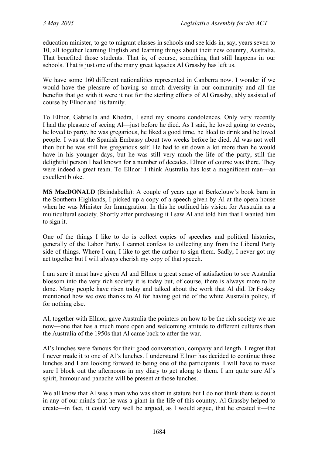education minister, to go to migrant classes in schools and see kids in, say, years seven to 10, all together learning English and learning things about their new country, Australia. That benefited those students. That is, of course, something that still happens in our schools. That is just one of the many great legacies Al Grassby has left us.

We have some 160 different nationalities represented in Canberra now. I wonder if we would have the pleasure of having so much diversity in our community and all the benefits that go with it were it not for the sterling efforts of Al Grassby, ably assisted of course by Ellnor and his family.

To Ellnor, Gabriella and Khedra, I send my sincere condolences. Only very recently I had the pleasure of seeing Al—just before he died. As I said, he loved going to events, he loved to party, he was gregarious, he liked a good time, he liked to drink and he loved people. I was at the Spanish Embassy about two weeks before he died. Al was not well then but he was still his gregarious self. He had to sit down a lot more than he would have in his younger days, but he was still very much the life of the party, still the delightful person I had known for a number of decades. Ellnor of course was there. They were indeed a great team. To Ellnor: I think Australia has lost a magnificent man—an excellent bloke.

**MS MacDONALD** (Brindabella): A couple of years ago at Berkelouw's book barn in the Southern Highlands, I picked up a copy of a speech given by Al at the opera house when he was Minister for Immigration. In this he outlined his vision for Australia as a multicultural society. Shortly after purchasing it I saw Al and told him that I wanted him to sign it.

One of the things I like to do is collect copies of speeches and political histories, generally of the Labor Party. I cannot confess to collecting any from the Liberal Party side of things. Where I can, I like to get the author to sign them. Sadly, I never got my act together but I will always cherish my copy of that speech.

I am sure it must have given Al and Ellnor a great sense of satisfaction to see Australia blossom into the very rich society it is today but, of course, there is always more to be done. Many people have risen today and talked about the work that Al did. Dr Foskey mentioned how we owe thanks to Al for having got rid of the white Australia policy, if for nothing else.

Al, together with Ellnor, gave Australia the pointers on how to be the rich society we are now—one that has a much more open and welcoming attitude to different cultures than the Australia of the 1950s that Al came back to after the war.

Al's lunches were famous for their good conversation, company and length. I regret that I never made it to one of Al's lunches. I understand Ellnor has decided to continue those lunches and I am looking forward to being one of the participants. I will have to make sure I block out the afternoons in my diary to get along to them. I am quite sure Al's spirit, humour and panache will be present at those lunches.

We all know that Al was a man who was short in stature but I do not think there is doubt in any of our minds that he was a giant in the life of this country. Al Grassby helped to create—in fact, it could very well be argued, as I would argue, that he created it—the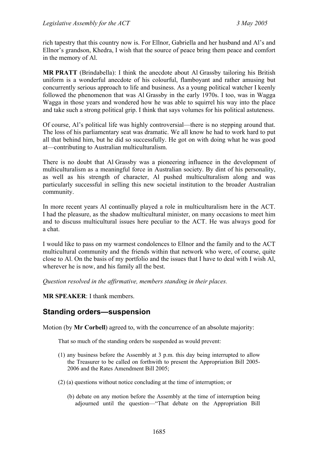rich tapestry that this country now is. For Ellnor, Gabriella and her husband and Al's and Ellnor's grandson, Khedra, I wish that the source of peace bring them peace and comfort in the memory of Al.

**MR PRATT** (Brindabella): I think the anecdote about Al Grassby tailoring his British uniform is a wonderful anecdote of his colourful, flamboyant and rather amusing but concurrently serious approach to life and business. As a young political watcher I keenly followed the phenomenon that was Al Grassby in the early 1970s. I too, was in Wagga Wagga in those years and wondered how he was able to squirrel his way into the place and take such a strong political grip. I think that says volumes for his political astuteness.

Of course, Al's political life was highly controversial—there is no stepping around that. The loss of his parliamentary seat was dramatic. We all know he had to work hard to put all that behind him, but he did so successfully. He got on with doing what he was good at—contributing to Australian multiculturalism.

There is no doubt that Al Grassby was a pioneering influence in the development of multiculturalism as a meaningful force in Australian society. By dint of his personality, as well as his strength of character, Al pushed multiculturalism along and was particularly successful in selling this new societal institution to the broader Australian community.

In more recent years Al continually played a role in multiculturalism here in the ACT. I had the pleasure, as the shadow multicultural minister, on many occasions to meet him and to discuss multicultural issues here peculiar to the ACT. He was always good for a chat.

I would like to pass on my warmest condolences to Ellnor and the family and to the ACT multicultural community and the friends within that network who were, of course, quite close to Al. On the basis of my portfolio and the issues that I have to deal with I wish Al, wherever he is now, and his family all the best.

*Question resolved in the affirmative, members standing in their places.*

**MR SPEAKER**: I thank members.

## <span id="page-12-0"></span>**Standing orders—suspension**

Motion (by **Mr Corbell**) agreed to, with the concurrence of an absolute majority:

That so much of the standing orders be suspended as would prevent:

- (1) any business before the Assembly at 3 p.m. this day being interrupted to allow the Treasurer to be called on forthwith to present the Appropriation Bill 2005- 2006 and the Rates Amendment Bill 2005;
- (2) (a) questions without notice concluding at the time of interruption; or
	- (b) debate on any motion before the Assembly at the time of interruption being adjourned until the question—"That debate on the Appropriation Bill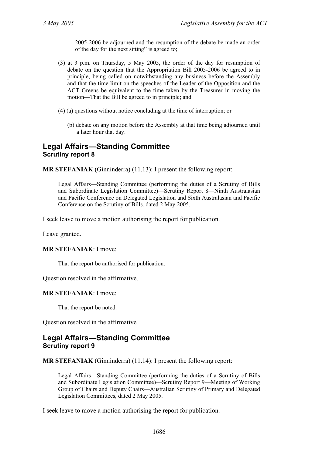2005-2006 be adjourned and the resumption of the debate be made an order of the day for the next sitting" is agreed to;

- (3) at 3 p.m. on Thursday, 5 May 2005, the order of the day for resumption of debate on the question that the Appropriation Bill 2005-2006 be agreed to in principle, being called on notwithstanding any business before the Assembly and that the time limit on the speeches of the Leader of the Opposition and the ACT Greens be equivalent to the time taken by the Treasurer in moving the motion—That the Bill be agreed to in principle; and
- (4) (a) questions without notice concluding at the time of interruption; or
	- (b) debate on any motion before the Assembly at that time being adjourned until a later hour that day.

## <span id="page-13-0"></span>**Legal Affairs—Standing Committee Scrutiny report 8**

**MR STEFANIAK** (Ginninderra) (11.13): I present the following report:

Legal Affairs—Standing Committee (performing the duties of a Scrutiny of Bills and Subordinate Legislation Committee)—Scrutiny Report 8—Ninth Australasian and Pacific Conference on Delegated Legislation and Sixth Australasian and Pacific Conference on the Scrutiny of Bills*,* dated 2 May 2005.

I seek leave to move a motion authorising the report for publication.

Leave granted.

#### **MR STEFANIAK**: I move:

That the report be authorised for publication.

Question resolved in the affirmative.

#### **MR STEFANIAK**: I move:

That the report be noted.

Question resolved in the affirmative

## **Legal Affairs—Standing Committee Scrutiny report 9**

**MR STEFANIAK** (Ginninderra) (11.14): I present the following report:

Legal Affairs—Standing Committee (performing the duties of a Scrutiny of Bills and Subordinate Legislation Committee)—Scrutiny Report 9—Meeting of Working Group of Chairs and Deputy Chairs—Australian Scrutiny of Primary and Delegated Legislation Committees, dated 2 May 2005.

I seek leave to move a motion authorising the report for publication.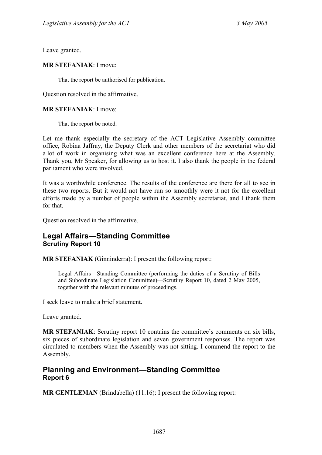Leave granted.

#### **MR STEFANIAK**: I move:

That the report be authorised for publication.

Question resolved in the affirmative.

#### **MR STEFANIAK**: I move:

That the report be noted.

Let me thank especially the secretary of the ACT Legislative Assembly committee office, Robina Jaffray, the Deputy Clerk and other members of the secretariat who did a lot of work in organising what was an excellent conference here at the Assembly. Thank you, Mr Speaker, for allowing us to host it. I also thank the people in the federal parliament who were involved.

It was a worthwhile conference. The results of the conference are there for all to see in these two reports. But it would not have run so smoothly were it not for the excellent efforts made by a number of people within the Assembly secretariat, and I thank them for that.

Question resolved in the affirmative.

## <span id="page-14-0"></span>**Legal Affairs—Standing Committee Scrutiny Report 10**

**MR STEFANIAK** (Ginninderra): I present the following report:

Legal Affairs—Standing Committee (performing the duties of a Scrutiny of Bills and Subordinate Legislation Committee)—Scrutiny Report 10, dated 2 May 2005, together with the relevant minutes of proceedings.

I seek leave to make a brief statement.

Leave granted.

**MR STEFANIAK**: Scrutiny report 10 contains the committee's comments on six bills, six pieces of subordinate legislation and seven government responses. The report was circulated to members when the Assembly was not sitting. I commend the report to the Assembly.

## <span id="page-14-1"></span>**Planning and Environment—Standing Committee Report 6**

**MR GENTLEMAN** (Brindabella) (11.16): I present the following report: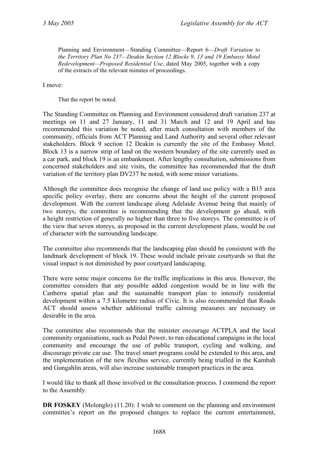Planning and Environment—Standing Committee—Report 6—*Draft Variation to the Territory Plan No 237—Deakin Section 12 Blocks 9, 13 and 19 Embassy Motel Redevelopment—Proposed Residential Use*, dated May 2005, together with a copy of the extracts of the relevant minutes of proceedings.

I move:

That the report be noted.

The Standing Committee on Planning and Environment considered draft variation 237 at meetings on 11 and 27 January, 11 and 31 March and 12 and 19 April and has recommended this variation be noted, after much consultation with members of the community, officials from ACT Planning and Land Authority and several other relevant stakeholders. Block 9 section 12 Deakin is currently the site of the Embassy Motel. Block 13 is a narrow strip of land on the western boundary of the site currently used as a car park, and block 19 is an embankment. After lengthy consultation, submissions from concerned stakeholders and site visits, the committee has recommended that the draft variation of the territory plan DV237 be noted, with some minor variations.

Although the committee does recognise the change of land use policy with a B15 area specific policy overlay, there are concerns about the height of the current proposed development. With the current landscape along Adelaide Avenue being that mainly of two storeys, the committee is recommending that the development go ahead, with a height restriction of generally no higher than three to five storeys. The committee is of the view that seven storeys, as proposed in the current development plans, would be out of character with the surrounding landscape.

The committee also recommends that the landscaping plan should be consistent with the landmark development of block 19. These would include private courtyards so that the visual impact is not diminished by poor courtyard landscaping.

There were some major concerns for the traffic implications in this area. However, the committee considers that any possible added congestion would be in line with the Canberra spatial plan and the sustainable transport plan to intensify residential development within a 7.5 kilometre radius of Civic. It is also recommended that Roads ACT should assess whether additional traffic calming measures are necessary or desirable in the area.

The committee also recommends that the minister encourage ACTPLA and the local community organisations, such as Pedal Power, to run educational campaigns in the local community and encourage the use of public transport, cycling and walking, and discourage private car use. The travel smart programs could be extended to this area, and the implementation of the new flexibus service, currently being trialled in the Kambah and Gungahlin areas, will also increase sustainable transport practices in the area.

I would like to thank all those involved in the consultation process. I commend the report to the Assembly.

**DR FOSKEY** (Molonglo) (11.20): I wish to comment on the planning and environment committee's report on the proposed changes to replace the current entertainment,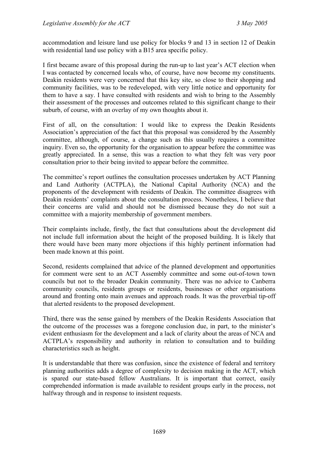accommodation and leisure land use policy for blocks 9 and 13 in section 12 of Deakin with residential land use policy with a B15 area specific policy.

I first became aware of this proposal during the run-up to last year's ACT election when I was contacted by concerned locals who, of course, have now become my constituents. Deakin residents were very concerned that this key site, so close to their shopping and community facilities, was to be redeveloped, with very little notice and opportunity for them to have a say. I have consulted with residents and wish to bring to the Assembly their assessment of the processes and outcomes related to this significant change to their suburb, of course, with an overlay of my own thoughts about it.

First of all, on the consultation: I would like to express the Deakin Residents Association's appreciation of the fact that this proposal was considered by the Assembly committee, although, of course, a change such as this usually requires a committee inquiry. Even so, the opportunity for the organisation to appear before the committee was greatly appreciated. In a sense, this was a reaction to what they felt was very poor consultation prior to their being invited to appear before the committee.

The committee's report outlines the consultation processes undertaken by ACT Planning and Land Authority (ACTPLA), the National Capital Authority (NCA) and the proponents of the development with residents of Deakin. The committee disagrees with Deakin residents' complaints about the consultation process. Nonetheless, I believe that their concerns are valid and should not be dismissed because they do not suit a committee with a majority membership of government members.

Their complaints include, firstly, the fact that consultations about the development did not include full information about the height of the proposed building. It is likely that there would have been many more objections if this highly pertinent information had been made known at this point.

Second, residents complained that advice of the planned development and opportunities for comment were sent to an ACT Assembly committee and some out-of-town town councils but not to the broader Deakin community. There was no advice to Canberra community councils, residents groups or residents, businesses or other organisations around and fronting onto main avenues and approach roads. It was the proverbial tip-off that alerted residents to the proposed development.

Third, there was the sense gained by members of the Deakin Residents Association that the outcome of the processes was a foregone conclusion due, in part, to the minister's evident enthusiasm for the development and a lack of clarity about the areas of NCA and ACTPLA's responsibility and authority in relation to consultation and to building characteristics such as height.

It is understandable that there was confusion, since the existence of federal and territory planning authorities adds a degree of complexity to decision making in the ACT, which is spared our state-based fellow Australians. It is important that correct, easily comprehended information is made available to resident groups early in the process, not halfway through and in response to insistent requests.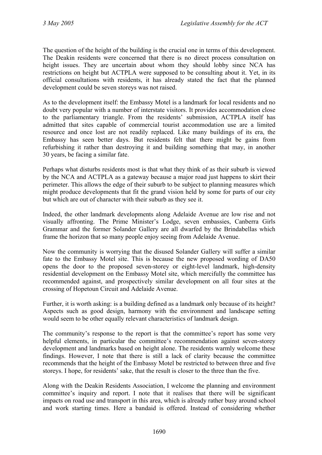The question of the height of the building is the crucial one in terms of this development. The Deakin residents were concerned that there is no direct process consultation on height issues. They are uncertain about whom they should lobby since NCA has restrictions on height but ACTPLA were supposed to be consulting about it. Yet, in its official consultations with residents, it has already stated the fact that the planned development could be seven storeys was not raised.

As to the development itself: the Embassy Motel is a landmark for local residents and no doubt very popular with a number of interstate visitors. It provides accommodation close to the parliamentary triangle. From the residents' submission, ACTPLA itself has admitted that sites capable of commercial tourist accommodation use are a limited resource and once lost are not readily replaced. Like many buildings of its era, the Embassy has seen better days. But residents felt that there might be gains from refurbishing it rather than destroying it and building something that may, in another 30 years, be facing a similar fate.

Perhaps what disturbs residents most is that what they think of as their suburb is viewed by the NCA and ACTPLA as a gateway because a major road just happens to skirt their perimeter. This allows the edge of their suburb to be subject to planning measures which might produce developments that fit the grand vision held by some for parts of our city but which are out of character with their suburb as they see it.

Indeed, the other landmark developments along Adelaide Avenue are low rise and not visually affronting. The Prime Minister's Lodge, seven embassies, Canberra Girls Grammar and the former Solander Gallery are all dwarfed by the Brindabellas which frame the horizon that so many people enjoy seeing from Adelaide Avenue.

Now the community is worrying that the disused Solander Gallery will suffer a similar fate to the Embassy Motel site. This is because the new proposed wording of DA50 opens the door to the proposed seven-storey or eight-level landmark, high-density residential development on the Embassy Motel site, which mercifully the committee has recommended against, and prospectively similar development on all four sites at the crossing of Hopetoun Circuit and Adelaide Avenue.

Further, it is worth asking: is a building defined as a landmark only because of its height? Aspects such as good design, harmony with the environment and landscape setting would seem to be other equally relevant characteristics of landmark design.

The community's response to the report is that the committee's report has some very helpful elements, in particular the committee's recommendation against seven-storey development and landmarks based on height alone. The residents warmly welcome these findings. However, I note that there is still a lack of clarity because the committee recommends that the height of the Embassy Motel be restricted to between three and five storeys. I hope, for residents' sake, that the result is closer to the three than the five.

Along with the Deakin Residents Association, I welcome the planning and environment committee's inquiry and report. I note that it realises that there will be significant impacts on road use and transport in this area, which is already rather busy around school and work starting times. Here a bandaid is offered. Instead of considering whether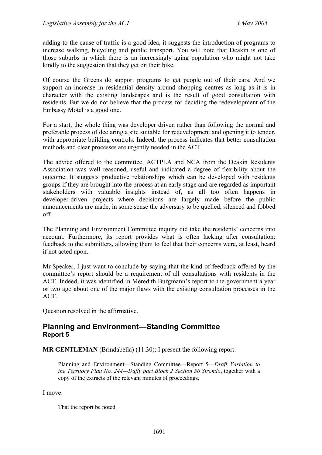adding to the cause of traffic is a good idea, it suggests the introduction of programs to increase walking, bicycling and public transport. You will note that Deakin is one of those suburbs in which there is an increasingly aging population who might not take kindly to the suggestion that they get on their bike.

Of course the Greens do support programs to get people out of their cars. And we support an increase in residential density around shopping centres as long as it is in character with the existing landscapes and is the result of good consultation with residents. But we do not believe that the process for deciding the redevelopment of the Embassy Motel is a good one.

For a start, the whole thing was developer driven rather than following the normal and preferable process of declaring a site suitable for redevelopment and opening it to tender, with appropriate building controls. Indeed, the process indicates that better consultation methods and clear processes are urgently needed in the ACT.

The advice offered to the committee, ACTPLA and NCA from the Deakin Residents Association was well reasoned, useful and indicated a degree of flexibility about the outcome. It suggests productive relationships which can be developed with residents groups if they are brought into the process at an early stage and are regarded as important stakeholders with valuable insights instead of, as all too often happens in developer-driven projects where decisions are largely made before the public announcements are made, in some sense the adversary to be quelled, silenced and fobbed off.

The Planning and Environment Committee inquiry did take the residents' concerns into account. Furthermore, its report provides what is often lacking after consultation: feedback to the submitters, allowing them to feel that their concerns were, at least, heard if not acted upon.

Mr Speaker, I just want to conclude by saying that the kind of feedback offered by the committee's report should be a requirement of all consultations with residents in the ACT. Indeed, it was identified in Meredith Burgmann's report to the government a year or two ago about one of the major flaws with the existing consultation processes in the ACT.

Question resolved in the affirmative.

## <span id="page-18-0"></span>**Planning and Environment—Standing Committee Report 5**

**MR GENTLEMAN** (Brindabella) (11.30): I present the following report:

Planning and Environment—Standing Committee—Report 5—*Draft Variation to the Territory Plan No. 244—Duffy part Block 2 Section 56 Stromlo*, together with a copy of the extracts of the relevant minutes of proceedings.

I move:

That the report be noted.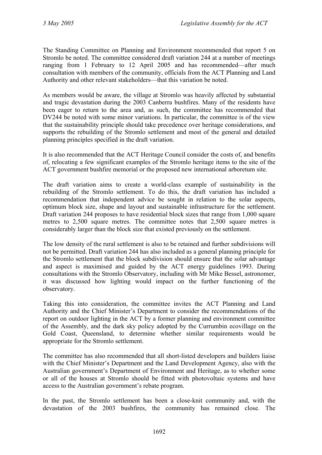The Standing Committee on Planning and Environment recommended that report 5 on Stromlo be noted. The committee considered draft variation 244 at a number of meetings ranging from 1 February to 12 April 2005 and has recommended—after much consultation with members of the community, officials from the ACT Planning and Land Authority and other relevant stakeholders—that this variation be noted.

As members would be aware, the village at Stromlo was heavily affected by substantial and tragic devastation during the 2003 Canberra bushfires. Many of the residents have been eager to return to the area and, as such, the committee has recommended that DV244 be noted with some minor variations. In particular, the committee is of the view that the sustainability principle should take precedence over heritage considerations, and supports the rebuilding of the Stromlo settlement and most of the general and detailed planning principles specified in the draft variation.

It is also recommended that the ACT Heritage Council consider the costs of, and benefits of, relocating a few significant examples of the Stromlo heritage items to the site of the ACT government bushfire memorial or the proposed new international arboretum site.

The draft variation aims to create a world-class example of sustainability in the rebuilding of the Stromlo settlement. To do this, the draft variation has included a recommendation that independent advice be sought in relation to the solar aspects, optimum block size, shape and layout and sustainable infrastructure for the settlement. Draft variation 244 proposes to have residential block sizes that range from 1,000 square metres to 2,500 square metres. The committee notes that 2,500 square metres is considerably larger than the block size that existed previously on the settlement.

The low density of the rural settlement is also to be retained and further subdivisions will not be permitted. Draft variation 244 has also included as a general planning principle for the Stromlo settlement that the block subdivision should ensure that the solar advantage and aspect is maximised and guided by the ACT energy guidelines 1993. During consultations with the Stromlo Observatory, including with Mr Mike Bessel, astronomer, it was discussed how lighting would impact on the further functioning of the observatory.

Taking this into consideration, the committee invites the ACT Planning and Land Authority and the Chief Minister's Department to consider the recommendations of the report on outdoor lighting in the ACT by a former planning and environment committee of the Assembly, and the dark sky policy adopted by the Currumbin ecovillage on the Gold Coast, Queensland, to determine whether similar requirements would be appropriate for the Stromlo settlement.

The committee has also recommended that all short-listed developers and builders liaise with the Chief Minister's Department and the Land Development Agency, also with the Australian government's Department of Environment and Heritage, as to whether some or all of the houses at Stromlo should be fitted with photovoltaic systems and have access to the Australian government's rebate program.

In the past, the Stromlo settlement has been a close-knit community and, with the devastation of the 2003 bushfires, the community has remained close. The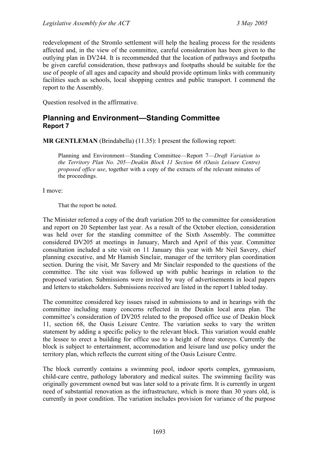redevelopment of the Stromlo settlement will help the healing process for the residents affected and, in the view of the committee, careful consideration has been given to the outlying plan in DV244. It is recommended that the location of pathways and footpaths be given careful consideration, these pathways and footpaths should be suitable for the use of people of all ages and capacity and should provide optimum links with community facilities such as schools, local shopping centres and public transport. I commend the report to the Assembly.

Question resolved in the affirmative.

## <span id="page-20-0"></span>**Planning and Environment—Standing Committee Report 7**

**MR GENTLEMAN** (Brindabella) (11.35): I present the following report:

Planning and Environment—Standing Committee—Report 7—*Draft Variation to the Territory Plan No. 205—Deakin Block 11 Section 68 (Oasis Leisure Centre) proposed office use*, together with a copy of the extracts of the relevant minutes of the proceedings.

I move:

That the report be noted.

The Minister referred a copy of the draft variation 205 to the committee for consideration and report on 20 September last year. As a result of the October election, consideration was held over for the standing committee of the Sixth Assembly. The committee considered DV205 at meetings in January, March and April of this year. Committee consultation included a site visit on 11 January this year with Mr Neil Savery, chief planning executive, and Mr Hamish Sinclair, manager of the territory plan coordination section. During the visit, Mr Savery and Mr Sinclair responded to the questions of the committee. The site visit was followed up with public hearings in relation to the proposed variation. Submissions were invited by way of advertisements in local papers and letters to stakeholders. Submissions received are listed in the report I tabled today.

The committee considered key issues raised in submissions to and in hearings with the committee including many concerns reflected in the Deakin local area plan. The committee's consideration of DV205 related to the proposed office use of Deakin block 11, section 68, the Oasis Leisure Centre. The variation seeks to vary the written statement by adding a specific policy to the relevant block. This variation would enable the lessee to erect a building for office use to a height of three storeys. Currently the block is subject to entertainment, accommodation and leisure land use policy under the territory plan, which reflects the current siting of the Oasis Leisure Centre.

The block currently contains a swimming pool, indoor sports complex, gymnasium, child-care centre, pathology laboratory and medical suites. The swimming facility was originally government owned but was later sold to a private firm. It is currently in urgent need of substantial renovation as the infrastructure, which is more than 30 years old, is currently in poor condition. The variation includes provision for variance of the purpose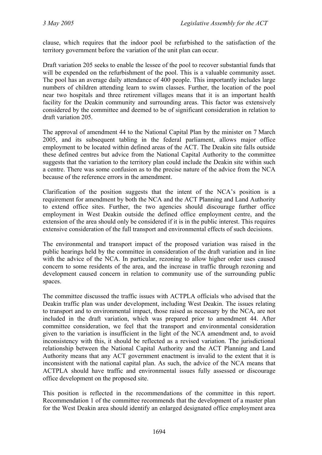clause, which requires that the indoor pool be refurbished to the satisfaction of the territory government before the variation of the unit plan can occur.

Draft variation 205 seeks to enable the lessee of the pool to recover substantial funds that will be expended on the refurbishment of the pool. This is a valuable community asset. The pool has an average daily attendance of 400 people. This importantly includes large numbers of children attending learn to swim classes. Further, the location of the pool near two hospitals and three retirement villages means that it is an important health facility for the Deakin community and surrounding areas. This factor was extensively considered by the committee and deemed to be of significant consideration in relation to draft variation 205.

The approval of amendment 44 to the National Capital Plan by the minister on 7 March 2005, and its subsequent tabling in the federal parliament, allows major office employment to be located within defined areas of the ACT. The Deakin site falls outside these defined centres but advice from the National Capital Authority to the committee suggests that the variation to the territory plan could include the Deakin site within such a centre. There was some confusion as to the precise nature of the advice from the NCA because of the reference errors in the amendment.

Clarification of the position suggests that the intent of the NCA's position is a requirement for amendment by both the NCA and the ACT Planning and Land Authority to extend office sites. Further, the two agencies should discourage further office employment in West Deakin outside the defined office employment centre, and the extension of the area should only be considered if it is in the public interest. This requires extensive consideration of the full transport and environmental effects of such decisions.

The environmental and transport impact of the proposed variation was raised in the public hearings held by the committee in consideration of the draft variation and in line with the advice of the NCA. In particular, rezoning to allow higher order uses caused concern to some residents of the area, and the increase in traffic through rezoning and development caused concern in relation to community use of the surrounding public spaces.

The committee discussed the traffic issues with ACTPLA officials who advised that the Deakin traffic plan was under development, including West Deakin. The issues relating to transport and to environmental impact, those raised as necessary by the NCA, are not included in the draft variation, which was prepared prior to amendment 44. After committee consideration, we feel that the transport and environmental consideration given to the variation is insufficient in the light of the NCA amendment and, to avoid inconsistency with this, it should be reflected as a revised variation. The jurisdictional relationship between the National Capital Authority and the ACT Planning and Land Authority means that any ACT government enactment is invalid to the extent that it is inconsistent with the national capital plan. As such, the advice of the NCA means that ACTPLA should have traffic and environmental issues fully assessed or discourage office development on the proposed site.

This position is reflected in the recommendations of the committee in this report. Recommendation 1 of the committee recommends that the development of a master plan for the West Deakin area should identify an enlarged designated office employment area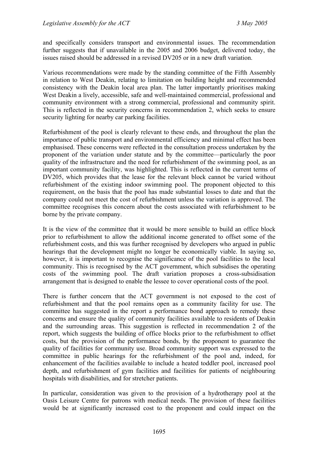and specifically considers transport and environmental issues. The recommendation further suggests that if unavailable in the 2005 and 2006 budget, delivered today, the issues raised should be addressed in a revised DV205 or in a new draft variation.

Various recommendations were made by the standing committee of the Fifth Assembly in relation to West Deakin, relating to limitation on building height and recommended consistency with the Deakin local area plan. The latter importantly prioritises making West Deakin a lively, accessible, safe and well-maintained commercial, professional and community environment with a strong commercial, professional and community spirit. This is reflected in the security concerns in recommendation 2, which seeks to ensure security lighting for nearby car parking facilities.

Refurbishment of the pool is clearly relevant to these ends, and throughout the plan the importance of public transport and environmental efficiency and minimal effect has been emphasised. These concerns were reflected in the consultation process undertaken by the proponent of the variation under statute and by the committee—particularly the poor quality of the infrastructure and the need for refurbishment of the swimming pool, as an important community facility, was highlighted. This is reflected in the current terms of DV205, which provides that the lease for the relevant block cannot be varied without refurbishment of the existing indoor swimming pool. The proponent objected to this requirement, on the basis that the pool has made substantial losses to date and that the company could not meet the cost of refurbishment unless the variation is approved. The committee recognises this concern about the costs associated with refurbishment to be borne by the private company.

It is the view of the committee that it would be more sensible to build an office block prior to refurbishment to allow the additional income generated to offset some of the refurbishment costs, and this was further recognised by developers who argued in public hearings that the development might no longer be economically viable. In saying so, however, it is important to recognise the significance of the pool facilities to the local community. This is recognised by the ACT government, which subsidises the operating costs of the swimming pool. The draft variation proposes a cross-subsidisation arrangement that is designed to enable the lessee to cover operational costs of the pool.

There is further concern that the ACT government is not exposed to the cost of refurbishment and that the pool remains open as a community facility for use. The committee has suggested in the report a performance bond approach to remedy these concerns and ensure the quality of community facilities available to residents of Deakin and the surrounding areas. This suggestion is reflected in recommendation 2 of the report, which suggests the building of office blocks prior to the refurbishment to offset costs, but the provision of the performance bonds, by the proponent to guarantee the quality of facilities for community use. Broad community support was expressed to the committee in public hearings for the refurbishment of the pool and, indeed, for enhancement of the facilities available to include a heated toddler pool, increased pool depth, and refurbishment of gym facilities and facilities for patients of neighbouring hospitals with disabilities, and for stretcher patients.

In particular, consideration was given to the provision of a hydrotherapy pool at the Oasis Leisure Centre for patrons with medical needs. The provision of these facilities would be at significantly increased cost to the proponent and could impact on the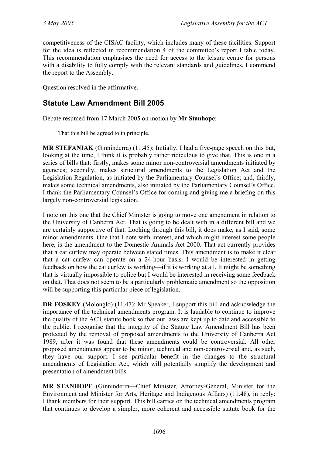competitiveness of the CISAC facility, which includes many of these facilities. Support for the idea is reflected in recommendation 4 of the committee's report I table today. This recommendation emphasises the need for access to the leisure centre for persons with a disability to fully comply with the relevant standards and guidelines. I commend the report to the Assembly.

Question resolved in the affirmative.

## <span id="page-23-0"></span>**Statute Law Amendment Bill 2005**

Debate resumed from 17 March 2005 on motion by **Mr Stanhope**:

That this bill be agreed to in principle.

**MR STEFANIAK** (Ginninderra) (11.45): Initially, I had a five-page speech on this but, looking at the time, I think it is probably rather ridiculous to give that. This is one in a series of bills that: firstly, makes some minor non-controversial amendments initiated by agencies; secondly, makes structural amendments to the Legislation Act and the Legislation Regulation, as initiated by the Parliamentary Counsel's Office; and, thirdly, makes some technical amendments, also initiated by the Parliamentary Counsel's Office. I thank the Parliamentary Counsel's Office for coming and giving me a briefing on this largely non-controversial legislation.

I note on this one that the Chief Minister is going to move one amendment in relation to the University of Canberra Act. That is going to be dealt with in a different bill and we are certainly supportive of that. Looking through this bill, it does make, as I said, some minor amendments. One that I note with interest, and which might interest some people here, is the amendment to the Domestic Animals Act 2000. That act currently provides that a cat curfew may operate between stated times. This amendment is to make it clear that a cat curfew can operate on a 24-hour basis. I would be interested in getting feedback on how the cat curfew is working—if it is working at all. It might be something that is virtually impossible to police but I would be interested in receiving some feedback on that. That does not seem to be a particularly problematic amendment so the opposition will be supporting this particular piece of legislation.

**DR FOSKEY** (Molonglo) (11.47): Mr Speaker, I support this bill and acknowledge the importance of the technical amendments program. It is laudable to continue to improve the quality of the ACT statute book so that our laws are kept up to date and accessible to the public. I recognise that the integrity of the Statute Law Amendment Bill has been protected by the removal of proposed amendments to the University of Canberra Act 1989, after it was found that these amendments could be controversial. All other proposed amendments appear to be minor, technical and non-controversial and, as such, they have our support. I see particular benefit in the changes to the structural amendments of Legislation Act, which will potentially simplify the development and presentation of amendment bills.

**MR STANHOPE** (Ginninderra—Chief Minister, Attorney-General, Minister for the Environment and Minister for Arts, Heritage and Indigenous Affairs) (11.48), in reply: I thank members for their support. This bill carries on the technical amendments program that continues to develop a simpler, more coherent and accessible statute book for the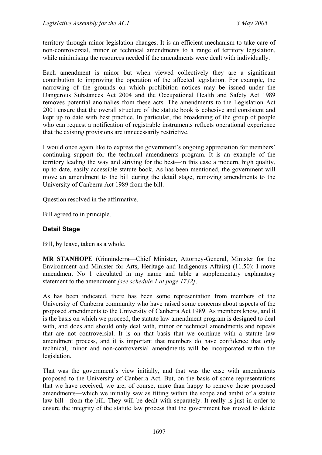territory through minor legislation changes. It is an efficient mechanism to take care of non-controversial, minor or technical amendments to a range of territory legislation, while minimising the resources needed if the amendments were dealt with individually.

Each amendment is minor but when viewed collectively they are a significant contribution to improving the operation of the affected legislation. For example, the narrowing of the grounds on which prohibition notices may be issued under the Dangerous Substances Act 2004 and the Occupational Health and Safety Act 1989 removes potential anomalies from these acts. The amendments to the Legislation Act 2001 ensure that the overall structure of the statute book is cohesive and consistent and kept up to date with best practice. In particular, the broadening of the group of people who can request a notification of registrable instruments reflects operational experience that the existing provisions are unnecessarily restrictive.

I would once again like to express the government's ongoing appreciation for members' continuing support for the technical amendments program. It is an example of the territory leading the way and striving for the best—in this case a modern, high quality, up to date, easily accessible statute book. As has been mentioned, the government will move an amendment to the bill during the detail stage, removing amendments to the University of Canberra Act 1989 from the bill.

Question resolved in the affirmative.

Bill agreed to in principle.

#### **Detail Stage**

Bill, by leave, taken as a whole.

**MR STANHOPE** (Ginninderra—Chief Minister, Attorney-General, Minister for the Environment and Minister for Arts, Heritage and Indigenous Affairs) (11.50): I move amendment No 1 circulated in my name and table a supplementary explanatory statement to the amendment *[see schedule 1 at page 1732]*.

As has been indicated, there has been some representation from members of the University of Canberra community who have raised some concerns about aspects of the proposed amendments to the University of Canberra Act 1989. As members know, and it is the basis on which we proceed, the statute law amendment program is designed to deal with, and does and should only deal with, minor or technical amendments and repeals that are not controversial. It is on that basis that we continue with a statute law amendment process, and it is important that members do have confidence that only technical, minor and non-controversial amendments will be incorporated within the legislation.

That was the government's view initially, and that was the case with amendments proposed to the University of Canberra Act. But, on the basis of some representations that we have received, we are, of course, more than happy to remove those proposed amendments—which we initially saw as fitting within the scope and ambit of a statute law bill—from the bill. They will be dealt with separately. It really is just in order to ensure the integrity of the statute law process that the government has moved to delete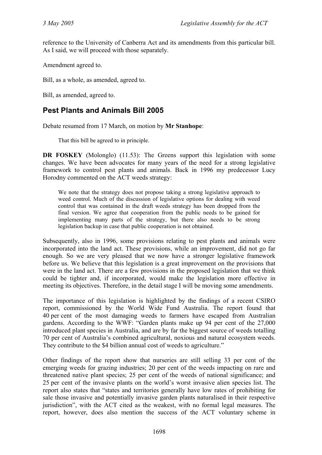reference to the University of Canberra Act and its amendments from this particular bill. As I said, we will proceed with those separately.

Amendment agreed to.

Bill, as a whole, as amended, agreed to.

Bill, as amended, agreed to.

## <span id="page-25-0"></span>**Pest Plants and Animals Bill 2005**

Debate resumed from 17 March, on motion by **Mr Stanhope**:

That this bill be agreed to in principle.

**DR FOSKEY** (Molonglo) (11.53): The Greens support this legislation with some changes. We have been advocates for many years of the need for a strong legislative framework to control pest plants and animals. Back in 1996 my predecessor Lucy Horodny commented on the ACT weeds strategy:

We note that the strategy does not propose taking a strong legislative approach to weed control. Much of the discussion of legislative options for dealing with weed control that was contained in the draft weeds strategy has been dropped from the final version. We agree that cooperation from the public needs to be gained for implementing many parts of the strategy, but there also needs to be strong legislation backup in case that public cooperation is not obtained.

Subsequently, also in 1996, some provisions relating to pest plants and animals were incorporated into the land act. These provisions, while an improvement, did not go far enough. So we are very pleased that we now have a stronger legislative framework before us. We believe that this legislation is a great improvement on the provisions that were in the land act. There are a few provisions in the proposed legislation that we think could be tighter and, if incorporated, would make the legislation more effective in meeting its objectives. Therefore, in the detail stage I will be moving some amendments.

The importance of this legislation is highlighted by the findings of a recent CSIRO report, commissioned by the World Wide Fund Australia. The report found that 40 per cent of the most damaging weeds to farmers have escaped from Australian gardens. According to the WWF: "Garden plants make up 94 per cent of the 27,000 introduced plant species in Australia, and are by far the biggest source of weeds totalling 70 per cent of Australia's combined agricultural, noxious and natural ecosystem weeds. They contribute to the \$4 billion annual cost of weeds to agriculture."

Other findings of the report show that nurseries are still selling 33 per cent of the emerging weeds for grazing industries; 20 per cent of the weeds impacting on rare and threatened native plant species; 25 per cent of the weeds of national significance; and 25 per cent of the invasive plants on the world's worst invasive alien species list. The report also states that "states and territories generally have low rates of prohibiting for sale those invasive and potentially invasive garden plants naturalised in their respective jurisdiction", with the ACT cited as the weakest, with no formal legal measures. The report, however, does also mention the success of the ACT voluntary scheme in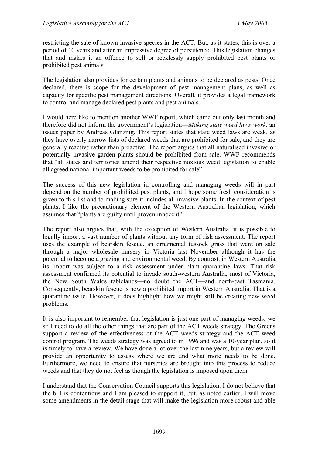restricting the sale of known invasive species in the ACT. But, as it states, this is over a period of 10 years and after an impressive degree of persistence. This legislation changes that and makes it an offence to sell or recklessly supply prohibited pest plants or prohibited pest animals.

The legislation also provides for certain plants and animals to be declared as pests. Once declared, there is scope for the development of pest management plans, as well as capacity for specific pest management directions. Overall, it provides a legal framework to control and manage declared pest plants and pest animals.

I would here like to mention another WWF report, which came out only last month and therefore did not inform the government's legislation—*Making state weed laws work,* an issues paper by Andreas Glanznig. This report states that state weed laws are weak, as they have overly narrow lists of declared weeds that are prohibited for sale, and they are generally reactive rather than proactive. The report argues that all naturalised invasive or potentially invasive garden plants should be prohibited from sale. WWF recommends that "all states and territories amend their respective noxious weed legislation to enable all agreed national important weeds to be prohibited for sale".

The success of this new legislation in controlling and managing weeds will in part depend on the number of prohibited pest plants, and I hope some fresh consideration is given to this list and to making sure it includes all invasive plants. In the context of pest plants, I like the precautionary element of the Western Australian legislation, which assumes that "plants are guilty until proven innocent".

The report also argues that, with the exception of Western Australia, it is possible to legally import a vast number of plants without any form of risk assessment. The report uses the example of bearskin fescue, an ornamental tussock grass that went on sale through a major wholesale nursery in Victoria last November although it has the potential to become a grazing and environmental weed. By contrast, in Western Australia its import was subject to a risk assessment under plant quarantine laws. That risk assessment confirmed its potential to invade south-western Australia, most of Victoria, the New South Wales tablelands—no doubt the ACT—and north-east Tasmania. Consequently, bearskin fescue is now a prohibited import in Western Australia. That is a quarantine issue. However, it does highlight how we might still be creating new weed problems.

It is also important to remember that legislation is just one part of managing weeds; we still need to do all the other things that are part of the ACT weeds strategy. The Greens support a review of the effectiveness of the ACT weeds strategy and the ACT weed control program. The weeds strategy was agreed to in 1996 and was a 10-year plan, so it is timely to have a review. We have done a lot over the last nine years, but a review will provide an opportunity to assess where we are and what more needs to be done. Furthermore, we need to ensure that nurseries are brought into this process to reduce weeds and that they do not feel as though the legislation is imposed upon them.

I understand that the Conservation Council supports this legislation. I do not believe that the bill is contentious and I am pleased to support it; but, as noted earlier, I will move some amendments in the detail stage that will make the legislation more robust and able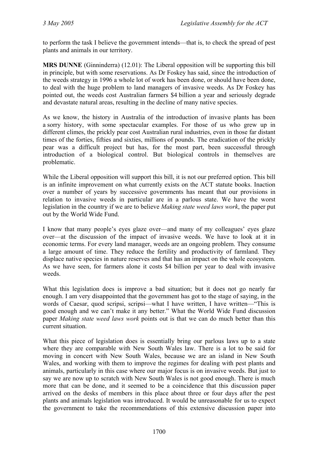to perform the task I believe the government intends—that is, to check the spread of pest plants and animals in our territory.

**MRS DUNNE** (Ginninderra) (12.01): The Liberal opposition will be supporting this bill in principle, but with some reservations. As Dr Foskey has said, since the introduction of the weeds strategy in 1996 a whole lot of work has been done, or should have been done, to deal with the huge problem to land managers of invasive weeds. As Dr Foskey has pointed out, the weeds cost Australian farmers \$4 billion a year and seriously degrade and devastate natural areas, resulting in the decline of many native species.

As we know, the history in Australia of the introduction of invasive plants has been a sorry history, with some spectacular examples. For those of us who grew up in different climes, the prickly pear cost Australian rural industries, even in those far distant times of the forties, fifties and sixties, millions of pounds. The eradication of the prickly pear was a difficult project but has, for the most part, been successful through introduction of a biological control. But biological controls in themselves are problematic.

While the Liberal opposition will support this bill, it is not our preferred option. This bill is an infinite improvement on what currently exists on the ACT statute books. Inaction over a number of years by successive governments has meant that our provisions in relation to invasive weeds in particular are in a parlous state. We have the worst legislation in the country if we are to believe *Making state weed laws work*, the paper put out by the World Wide Fund.

I know that many people's eyes glaze over—and many of my colleagues' eyes glaze over—at the discussion of the impact of invasive weeds. We have to look at it in economic terms. For every land manager, weeds are an ongoing problem. They consume a large amount of time. They reduce the fertility and productivity of farmland. They displace native species in nature reserves and that has an impact on the whole ecosystem. As we have seen, for farmers alone it costs \$4 billion per year to deal with invasive weeds.

What this legislation does is improve a bad situation; but it does not go nearly far enough. I am very disappointed that the government has got to the stage of saying, in the words of Caesar, quod scripsi, scripsi—what I have written, I have written—"This is good enough and we can't make it any better." What the World Wide Fund discussion paper *Making state weed laws work* points out is that we can do much better than this current situation.

What this piece of legislation does is essentially bring our parlous laws up to a state where they are comparable with New South Wales law. There is a lot to be said for moving in concert with New South Wales, because we are an island in New South Wales, and working with them to improve the regimes for dealing with pest plants and animals, particularly in this case where our major focus is on invasive weeds. But just to say we are now up to scratch with New South Wales is not good enough. There is much more that can be done, and it seemed to be a coincidence that this discussion paper arrived on the desks of members in this place about three or four days after the pest plants and animals legislation was introduced. It would be unreasonable for us to expect the government to take the recommendations of this extensive discussion paper into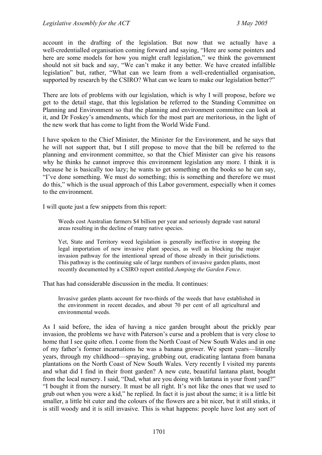account in the drafting of the legislation. But now that we actually have a well-credentialled organisation coming forward and saying, "Here are some pointers and here are some models for how you might craft legislation," we think the government should not sit back and say, "We can't make it any better. We have created infallible legislation" but, rather, "What can we learn from a well-credentialled organisation, supported by research by the CSIRO? What can we learn to make our legislation better?"

There are lots of problems with our legislation, which is why I will propose, before we get to the detail stage, that this legislation be referred to the Standing Committee on Planning and Environment so that the planning and environment committee can look at it, and Dr Foskey's amendments, which for the most part are meritorious, in the light of the new work that has come to light from the World Wide Fund.

I have spoken to the Chief Minister, the Minister for the Environment, and he says that he will not support that, but I still propose to move that the bill be referred to the planning and environment committee, so that the Chief Minister can give his reasons why he thinks he cannot improve this environment legislation any more. I think it is because he is basically too lazy; he wants to get something on the books so he can say, "I've done something. We must do something; this is something and therefore we must do this," which is the usual approach of this Labor government, especially when it comes to the environment.

I will quote just a few snippets from this report:

Weeds cost Australian farmers \$4 billion per year and seriously degrade vast natural areas resulting in the decline of many native species.

Yet, State and Territory weed legislation is generally ineffective in stopping the legal importation of new invasive plant species, as well as blocking the major invasion pathway for the intentional spread of those already in their jurisdictions. This pathway is the continuing sale of large numbers of invasive garden plants, most recently documented by a CSIRO report entitled *Jumping the Garden Fence*.

That has had considerable discussion in the media. It continues:

Invasive garden plants account for two-thirds of the weeds that have established in the environment in recent decades, and about 70 per cent of all agricultural and environmental weeds.

As I said before, the idea of having a nice garden brought about the prickly pear invasion, the problems we have with Paterson's curse and a problem that is very close to home that I see quite often. I come from the North Coast of New South Wales and in one of my father's former incarnations he was a banana grower. We spent years—literally years, through my childhood—spraying, grubbing out, eradicating lantana from banana plantations on the North Coast of New South Wales. Very recently I visited my parents and what did I find in their front garden? A new cute, beautiful lantana plant, bought from the local nursery. I said, "Dad, what are you doing with lantana in your front yard?" "I bought it from the nursery. It must be all right. It's not like the ones that we used to grub out when you were a kid," he replied. In fact it is just about the same; it is a little bit smaller, a little bit cuter and the colours of the flowers are a bit nicer, but it still stinks, it is still woody and it is still invasive. This is what happens: people have lost any sort of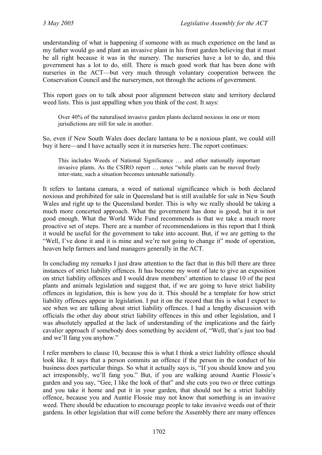understanding of what is happening if someone with as much experience on the land as my father would go and plant an invasive plant in his front garden believing that it must be all right because it was in the nursery. The nurseries have a lot to do, and this government has a lot to do, still. There is much good work that has been done with nurseries in the ACT—but very much through voluntary cooperation between the Conservation Council and the nurserymen, not through the actions of government.

This report goes on to talk about poor alignment between state and territory declared weed lists. This is just appalling when you think of the cost. It says:

Over 40% of the naturalised invasive garden plants declared noxious in one or more jurisdictions are still for sale in another.

So, even if New South Wales does declare lantana to be a noxious plant, we could still buy it here—and I have actually seen it in nurseries here. The report continues:

This includes Weeds of National Significance … and other nationally important invasive plants. As the CSIRO report … notes "while plants can be moved freely inter-state, such a situation becomes untenable nationally.

It refers to lantana camara, a weed of national significance which is both declared noxious and prohibited for sale in Queensland but is still available for sale in New South Wales and right up to the Queensland border. This is why we really should be taking a much more concerted approach. What the government has done is good, but it is not good enough. What the World Wide Fund recommends is that we take a much more proactive set of steps. There are a number of recommendations in this report that I think it would be useful for the government to take into account. But, if we are getting to the "Well, I've done it and it is mine and we're not going to change it" mode of operation, heaven help farmers and land managers generally in the ACT.

In concluding my remarks I just draw attention to the fact that in this bill there are three instances of strict liability offences. It has become my wont of late to give an exposition on strict liability offences and I would draw members' attention to clause 10 of the pest plants and animals legislation and suggest that, if we are going to have strict liability offences in legislation, this is how you do it. This should be a template for how strict liability offences appear in legislation. I put it on the record that this is what I expect to see when we are talking about strict liability offences. I had a lengthy discussion with officials the other day about strict liability offences in this and other legislation, and I was absolutely appalled at the lack of understanding of the implications and the fairly cavalier approach if somebody does something by accident of, "Well, that's just too bad and we'll fang you anyhow."

I refer members to clause 10, because this is what I think a strict liability offence should look like. It says that a person commits an offence if the person in the conduct of his business does particular things. So what it actually says is, "If you should know and you act irresponsibly, we'll fang you." But, if you are walking around Auntie Flossie's garden and you say, "Gee, I like the look of that" and she cuts you two or three cuttings and you take it home and put it in your garden, that should not be a strict liability offence, because you and Auntie Flossie may not know that something is an invasive weed. There should be education to encourage people to take invasive weeds out of their gardens. In other legislation that will come before the Assembly there are many offences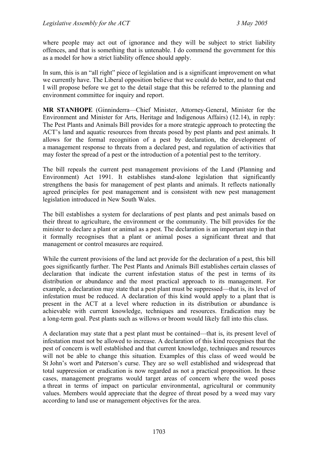where people may act out of ignorance and they will be subject to strict liability offences, and that is something that is untenable. I do commend the government for this as a model for how a strict liability offence should apply.

In sum, this is an "all right" piece of legislation and is a significant improvement on what we currently have. The Liberal opposition believe that we could do better, and to that end I will propose before we get to the detail stage that this be referred to the planning and environment committee for inquiry and report.

**MR STANHOPE** (Ginninderra—Chief Minister, Attorney-General, Minister for the Environment and Minister for Arts, Heritage and Indigenous Affairs) (12.14), in reply: The Pest Plants and Animals Bill provides for a more strategic approach to protecting the ACT's land and aquatic resources from threats posed by pest plants and pest animals. It allows for the formal recognition of a pest by declaration, the development of a management response to threats from a declared pest, and regulation of activities that may foster the spread of a pest or the introduction of a potential pest to the territory.

The bill repeals the current pest management provisions of the Land (Planning and Environment) Act 1991. It establishes stand-alone legislation that significantly strengthens the basis for management of pest plants and animals. It reflects nationally agreed principles for pest management and is consistent with new pest management legislation introduced in New South Wales.

The bill establishes a system for declarations of pest plants and pest animals based on their threat to agriculture, the environment or the community. The bill provides for the minister to declare a plant or animal as a pest. The declaration is an important step in that it formally recognises that a plant or animal poses a significant threat and that management or control measures are required.

While the current provisions of the land act provide for the declaration of a pest, this bill goes significantly further. The Pest Plants and Animals Bill establishes certain classes of declaration that indicate the current infestation status of the pest in terms of its distribution or abundance and the most practical approach to its management. For example, a declaration may state that a pest plant must be suppressed—that is, its level of infestation must be reduced. A declaration of this kind would apply to a plant that is present in the ACT at a level where reduction in its distribution or abundance is achievable with current knowledge, techniques and resources. Eradication may be a long-term goal. Pest plants such as willows or broom would likely fall into this class.

A declaration may state that a pest plant must be contained—that is, its present level of infestation must not be allowed to increase. A declaration of this kind recognises that the pest of concern is well established and that current knowledge, techniques and resources will not be able to change this situation. Examples of this class of weed would be St John's wort and Paterson's curse. They are so well established and widespread that total suppression or eradication is now regarded as not a practical proposition. In these cases, management programs would target areas of concern where the weed poses a threat in terms of impact on particular environmental, agricultural or community values. Members would appreciate that the degree of threat posed by a weed may vary according to land use or management objectives for the area.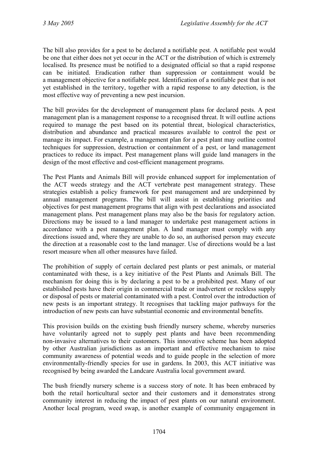The bill also provides for a pest to be declared a notifiable pest. A notifiable pest would be one that either does not yet occur in the ACT or the distribution of which is extremely localised. Its presence must be notified to a designated official so that a rapid response can be initiated. Eradication rather than suppression or containment would be a management objective for a notifiable pest. Identification of a notifiable pest that is not yet established in the territory, together with a rapid response to any detection, is the most effective way of preventing a new pest incursion.

The bill provides for the development of management plans for declared pests. A pest management plan is a management response to a recognised threat. It will outline actions required to manage the pest based on its potential threat, biological characteristics, distribution and abundance and practical measures available to control the pest or manage its impact. For example, a management plan for a pest plant may outline control techniques for suppression, destruction or containment of a pest, or land management practices to reduce its impact. Pest management plans will guide land managers in the design of the most effective and cost-efficient management programs.

The Pest Plants and Animals Bill will provide enhanced support for implementation of the ACT weeds strategy and the ACT vertebrate pest management strategy. These strategies establish a policy framework for pest management and are underpinned by annual management programs. The bill will assist in establishing priorities and objectives for pest management programs that align with pest declarations and associated management plans. Pest management plans may also be the basis for regulatory action. Directions may be issued to a land manager to undertake pest management actions in accordance with a pest management plan. A land manager must comply with any directions issued and, where they are unable to do so, an authorised person may execute the direction at a reasonable cost to the land manager. Use of directions would be a last resort measure when all other measures have failed.

The prohibition of supply of certain declared pest plants or pest animals, or material contaminated with these, is a key initiative of the Pest Plants and Animals Bill. The mechanism for doing this is by declaring a pest to be a prohibited pest. Many of our established pests have their origin in commercial trade or inadvertent or reckless supply or disposal of pests or material contaminated with a pest. Control over the introduction of new pests is an important strategy. It recognises that tackling major pathways for the introduction of new pests can have substantial economic and environmental benefits.

This provision builds on the existing bush friendly nursery scheme, whereby nurseries have voluntarily agreed not to supply pest plants and have been recommending non-invasive alternatives to their customers. This innovative scheme has been adopted by other Australian jurisdictions as an important and effective mechanism to raise community awareness of potential weeds and to guide people in the selection of more environmentally-friendly species for use in gardens. In 2003, this ACT initiative was recognised by being awarded the Landcare Australia local government award.

The bush friendly nursery scheme is a success story of note. It has been embraced by both the retail horticultural sector and their customers and it demonstrates strong community interest in reducing the impact of pest plants on our natural environment. Another local program, weed swap, is another example of community engagement in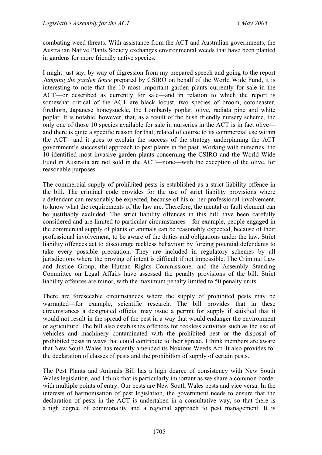combating weed threats. With assistance from the ACT and Australian governments, the Australian Native Plants Society exchanges environmental weeds that have been planted in gardens for more friendly native species.

I might just say, by way of digression from my prepared speech and going to the report *Jumping the garden fence* prepared by CSIRO on behalf of the World Wide Fund, it is interesting to note that the 10 most important garden plants currently for sale in the ACT—or described as currently for sale—and in relation to which the report is somewhat critical of the ACT are black locust, two species of broom, cotoneaster, firethorn, Japanese honeysuckle, the Lombardy poplar, olive, radiata pine and white poplar. It is notable, however, that, as a result of the bush friendly nursery scheme, the only one of those 10 species available for sale in nurseries in the ACT is in fact olive and there is quite a specific reason for that, related of course to its commercial use within the ACT—and it goes to explain the success of the strategy underpinning the ACT government's successful approach to pest plants in the past. Working with nurseries, the 10 identified most invasive garden plants concerning the CSIRO and the World Wide Fund in Australia are not sold in the ACT—none—with the exception of the olive, for reasonable purposes.

The commercial supply of prohibited pests is established as a strict liability offence in the bill. The criminal code provides for the use of strict liability provisions where a defendant can reasonably be expected, because of his or her professional involvement, to know what the requirements of the law are. Therefore, the mental or fault element can be justifiably excluded. The strict liability offences in this bill have been carefully considered and are limited to particular circumstances—for example, people engaged in the commercial supply of plants or animals can be reasonably expected, because of their professional involvement, to be aware of the duties and obligations under the law. Strict liability offences act to discourage reckless behaviour by forcing potential defendants to take every possible precaution. They are included in regulatory schemes by all jurisdictions where the proving of intent is difficult if not impossible. The Criminal Law and Justice Group, the Human Rights Commissioner and the Assembly Standing Committee on Legal Affairs have assessed the penalty provisions of the bill. Strict liability offences are minor, with the maximum penalty limited to 50 penalty units.

There are foreseeable circumstances where the supply of prohibited pests may be warranted—for example, scientific research. The bill provides that in these circumstances a designated official may issue a permit for supply if satisfied that it would not result in the spread of the pest in a way that would endanger the environment or agriculture. The bill also establishes offences for reckless activities such as the use of vehicles and machinery contaminated with the prohibited pest or the disposal of prohibited pests in ways that could contribute to their spread. I think members are aware that New South Wales has recently amended its Noxious Weeds Act. It also provides for the declaration of classes of pests and the prohibition of supply of certain pests.

The Pest Plants and Animals Bill has a high degree of consistency with New South Wales legislation, and I think that is particularly important as we share a common border with multiple points of entry. Our pests are New South Wales pests and vice versa. In the interests of harmonisation of pest legislation, the government needs to ensure that the declaration of pests in the ACT is undertaken in a consultative way, so that there is a high degree of commonality and a regional approach to pest management. It is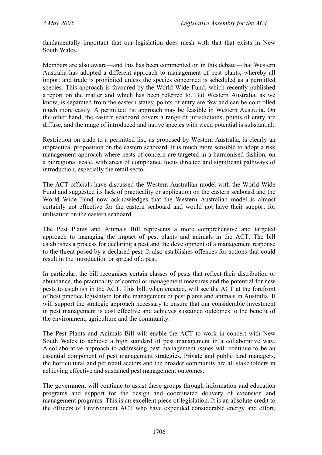fundamentally important that our legislation does mesh with that that exists in New South Wales.

Members are also aware—and this has been commented on in this debate—that Western Australia has adopted a different approach to management of pest plants, whereby all import and trade is prohibited unless the species concerned is scheduled as a permitted species. This approach is favoured by the World Wide Fund, which recently published a report on the matter and which has been referred to. But Western Australia, as we know, is separated from the eastern states; points of entry are few and can be controlled much more easily. A permitted list approach may be feasible in Western Australia. On the other hand, the eastern seaboard covers a range of jurisdictions, points of entry are diffuse, and the range of introduced and native species with weed potential is substantial.

Restriction on trade to a permitted list, as proposed by Western Australia, is clearly an impractical proposition on the eastern seaboard. It is much more sensible to adopt a risk management approach where pests of concern are targeted in a harmonised fashion, on a bioregional scale, with areas of compliance focus directed and significant pathways of introduction, especially the retail sector.

The ACT officials have discussed the Western Australian model with the World Wide Fund and suggested its lack of practicality or application on the eastern seaboard and the World Wide Fund now acknowledges that the Western Australian model is almost certainly not effective for the eastern seaboard and would not have their support for utilisation on the eastern seaboard.

The Pest Plants and Animals Bill represents a more comprehensive and targeted approach to managing the impact of pest plants and animals in the ACT. The bill establishes a process for declaring a pest and the development of a management response to the threat posed by a declared pest. It also establishes offences for actions that could result in the introduction or spread of a pest.

In particular, the bill recognises certain classes of pests that reflect their distribution or abundance, the practicality of control or management measures and the potential for new pests to establish in the ACT. This bill, when enacted, will see the ACT at the forefront of best practice legislation for the management of pest plants and animals in Australia. It will support the strategic approach necessary to ensure that our considerable investment in pest management is cost effective and achieves sustained outcomes to the benefit of the environment, agriculture and the community.

The Pest Plants and Animals Bill will enable the ACT to work in concert with New South Wales to achieve a high standard of pest management in a collaborative way. A collaborative approach to addressing pest management issues will continue to be an essential component of pest management strategies. Private and public land managers, the horticultural and pet retail sectors and the broader community are all stakeholders in achieving effective and sustained pest management outcomes.

The government will continue to assist these groups through information and education programs and support for the design and coordinated delivery of extension and management programs. This is an excellent piece of legislation. It is an absolute credit to the officers of Environment ACT who have expended considerable energy and effort,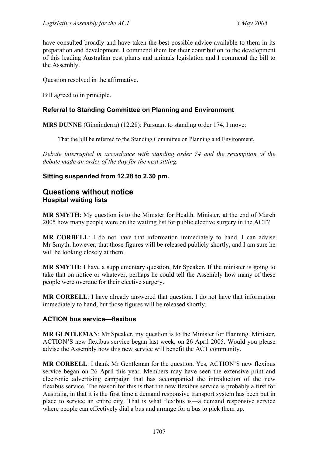have consulted broadly and have taken the best possible advice available to them in its preparation and development. I commend them for their contribution to the development of this leading Australian pest plants and animals legislation and I commend the bill to the Assembly.

Question resolved in the affirmative.

Bill agreed to in principle.

## **Referral to Standing Committee on Planning and Environment**

**MRS DUNNE** (Ginninderra) (12.28): Pursuant to standing order 174, I move:

That the bill be referred to the Standing Committee on Planning and Environment.

*Debate interrupted in accordance with standing order 74 and the resumption of the debate made an order of the day for the next sitting.*

## **Sitting suspended from 12.28 to 2.30 pm.**

## <span id="page-34-0"></span>**Questions without notice Hospital waiting lists**

**MR SMYTH**: My question is to the Minister for Health. Minister, at the end of March 2005 how many people were on the waiting list for public elective surgery in the ACT?

**MR CORBELL**: I do not have that information immediately to hand. I can advise Mr Smyth, however, that those figures will be released publicly shortly, and I am sure he will be looking closely at them.

**MR SMYTH**: I have a supplementary question, Mr Speaker. If the minister is going to take that on notice or whatever, perhaps he could tell the Assembly how many of these people were overdue for their elective surgery.

**MR CORBELL**: I have already answered that question. I do not have that information immediately to hand, but those figures will be released shortly.

## <span id="page-34-1"></span>**ACTION bus service—flexibus**

**MR GENTLEMAN**: Mr Speaker, my question is to the Minister for Planning. Minister, ACTION'S new flexibus service began last week, on 26 April 2005. Would you please advise the Assembly how this new service will benefit the ACT community.

**MR CORBELL**: I thank Mr Gentleman for the question. Yes, ACTION'S new flexibus service began on 26 April this year. Members may have seen the extensive print and electronic advertising campaign that has accompanied the introduction of the new flexibus service. The reason for this is that the new flexibus service is probably a first for Australia, in that it is the first time a demand responsive transport system has been put in place to service an entire city. That is what flexibus is—a demand responsive service where people can effectively dial a bus and arrange for a bus to pick them up.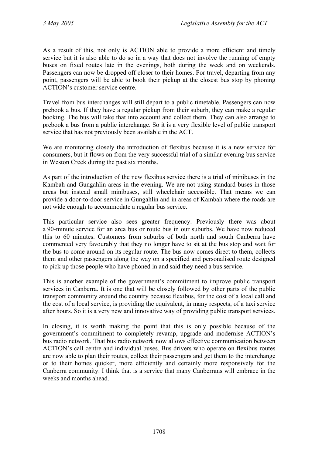As a result of this, not only is ACTION able to provide a more efficient and timely service but it is also able to do so in a way that does not involve the running of empty buses on fixed routes late in the evenings, both during the week and on weekends. Passengers can now be dropped off closer to their homes. For travel, departing from any point, passengers will be able to book their pickup at the closest bus stop by phoning ACTION's customer service centre.

Travel from bus interchanges will still depart to a public timetable. Passengers can now prebook a bus. If they have a regular pickup from their suburb, they can make a regular booking. The bus will take that into account and collect them. They can also arrange to prebook a bus from a public interchange. So it is a very flexible level of public transport service that has not previously been available in the ACT.

We are monitoring closely the introduction of flexibus because it is a new service for consumers, but it flows on from the very successful trial of a similar evening bus service in Weston Creek during the past six months.

As part of the introduction of the new flexibus service there is a trial of minibuses in the Kambah and Gungahlin areas in the evening. We are not using standard buses in those areas but instead small minibuses, still wheelchair accessible. That means we can provide a door-to-door service in Gungahlin and in areas of Kambah where the roads are not wide enough to accommodate a regular bus service.

This particular service also sees greater frequency. Previously there was about a 90-minute service for an area bus or route bus in our suburbs. We have now reduced this to 60 minutes. Customers from suburbs of both north and south Canberra have commented very favourably that they no longer have to sit at the bus stop and wait for the bus to come around on its regular route. The bus now comes direct to them, collects them and other passengers along the way on a specified and personalised route designed to pick up those people who have phoned in and said they need a bus service.

This is another example of the government's commitment to improve public transport services in Canberra. It is one that will be closely followed by other parts of the public transport community around the country because flexibus, for the cost of a local call and the cost of a local service, is providing the equivalent, in many respects, of a taxi service after hours. So it is a very new and innovative way of providing public transport services.

In closing, it is worth making the point that this is only possible because of the government's commitment to completely revamp, upgrade and modernise ACTION's bus radio network. That bus radio network now allows effective communication between ACTION's call centre and individual buses. Bus drivers who operate on flexibus routes are now able to plan their routes, collect their passengers and get them to the interchange or to their homes quicker, more efficiently and certainly more responsively for the Canberra community. I think that is a service that many Canberrans will embrace in the weeks and months ahead.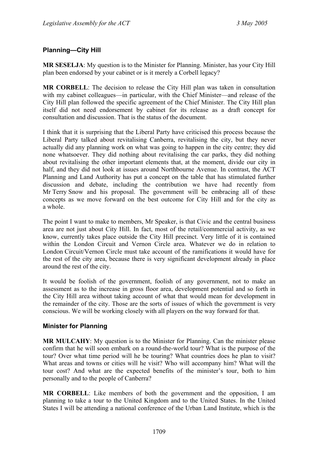## <span id="page-36-0"></span>**Planning—City Hill**

**MR SESELJA**: My question is to the Minister for Planning. Minister, has your City Hill plan been endorsed by your cabinet or is it merely a Corbell legacy?

**MR CORBELL**: The decision to release the City Hill plan was taken in consultation with my cabinet colleagues—in particular, with the Chief Minister—and release of the City Hill plan followed the specific agreement of the Chief Minister. The City Hill plan itself did not need endorsement by cabinet for its release as a draft concept for consultation and discussion. That is the status of the document.

I think that it is surprising that the Liberal Party have criticised this process because the Liberal Party talked about revitalising Canberra, revitalising the city, but they never actually did any planning work on what was going to happen in the city centre; they did none whatsoever. They did nothing about revitalising the car parks, they did nothing about revitalising the other important elements that, at the moment, divide our city in half, and they did not look at issues around Northbourne Avenue. In contrast, the ACT Planning and Land Authority has put a concept on the table that has stimulated further discussion and debate, including the contribution we have had recently from Mr Terry Snow and his proposal. The government will be embracing all of these concepts as we move forward on the best outcome for City Hill and for the city as a whole.

The point I want to make to members, Mr Speaker, is that Civic and the central business area are not just about City Hill. In fact, most of the retail/commercial activity, as we know, currently takes place outside the City Hill precinct. Very little of it is contained within the London Circuit and Vernon Circle area. Whatever we do in relation to London Circuit/Vernon Circle must take account of the ramifications it would have for the rest of the city area, because there is very significant development already in place around the rest of the city.

It would be foolish of the government, foolish of any government, not to make an assessment as to the increase in gross floor area, development potential and so forth in the City Hill area without taking account of what that would mean for development in the remainder of the city. Those are the sorts of issues of which the government is very conscious. We will be working closely with all players on the way forward for that.

## <span id="page-36-1"></span>**Minister for Planning**

**MR MULCAHY**: My question is to the Minister for Planning. Can the minister please confirm that he will soon embark on a round-the-world tour? What is the purpose of the tour? Over what time period will he be touring? What countries does he plan to visit? What areas and towns or cities will he visit? Who will accompany him? What will the tour cost? And what are the expected benefits of the minister's tour, both to him personally and to the people of Canberra?

**MR CORBELL**: Like members of both the government and the opposition, I am planning to take a tour to the United Kingdom and to the United States. In the United States I will be attending a national conference of the Urban Land Institute, which is the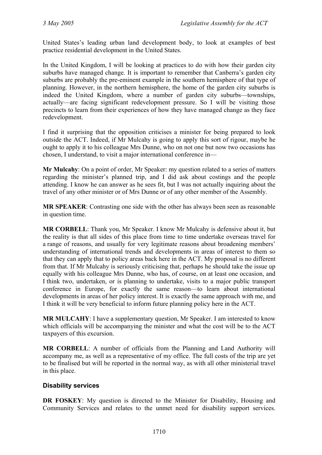United States's leading urban land development body, to look at examples of best practice residential development in the United States.

In the United Kingdom, I will be looking at practices to do with how their garden city suburbs have managed change. It is important to remember that Canberra's garden city suburbs are probably the pre-eminent example in the southern hemisphere of that type of planning. However, in the northern hemisphere, the home of the garden city suburbs is indeed the United Kingdom, where a number of garden city suburbs—townships, actually—are facing significant redevelopment pressure. So I will be visiting those precincts to learn from their experiences of how they have managed change as they face redevelopment.

I find it surprising that the opposition criticises a minister for being prepared to look outside the ACT. Indeed, if Mr Mulcahy is going to apply this sort of rigour, maybe he ought to apply it to his colleague Mrs Dunne, who on not one but now two occasions has chosen, I understand, to visit a major international conference in—

**Mr Mulcahy**: On a point of order, Mr Speaker: my question related to a series of matters regarding the minister's planned trip, and I did ask about costings and the people attending. I know he can answer as he sees fit, but I was not actually inquiring about the travel of any other minister or of Mrs Dunne or of any other member of the Assembly.

**MR SPEAKER**: Contrasting one side with the other has always been seen as reasonable in question time.

**MR CORBELL**: Thank you, Mr Speaker. I know Mr Mulcahy is defensive about it, but the reality is that all sides of this place from time to time undertake overseas travel for a range of reasons, and usually for very legitimate reasons about broadening members' understanding of international trends and developments in areas of interest to them so that they can apply that to policy areas back here in the ACT. My proposal is no different from that. If Mr Mulcahy is seriously criticising that, perhaps he should take the issue up equally with his colleague Mrs Dunne, who has, of course, on at least one occasion, and I think two, undertaken, or is planning to undertake, visits to a major public transport conference in Europe, for exactly the same reason—to learn about international developments in areas of her policy interest. It is exactly the same approach with me, and I think it will be very beneficial to inform future planning policy here in the ACT.

**MR MULCAHY**: I have a supplementary question, Mr Speaker. I am interested to know which officials will be accompanying the minister and what the cost will be to the ACT taxpayers of this excursion.

**MR CORBELL**: A number of officials from the Planning and Land Authority will accompany me, as well as a representative of my office. The full costs of the trip are yet to be finalised but will be reported in the normal way, as with all other ministerial travel in this place.

## <span id="page-37-0"></span>**Disability services**

**DR FOSKEY**: My question is directed to the Minister for Disability, Housing and Community Services and relates to the unmet need for disability support services.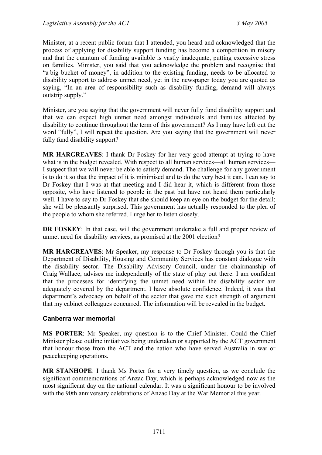Minister, at a recent public forum that I attended, you heard and acknowledged that the process of applying for disability support funding has become a competition in misery and that the quantum of funding available is vastly inadequate, putting excessive stress on families. Minister, you said that you acknowledge the problem and recognise that "a big bucket of money", in addition to the existing funding, needs to be allocated to disability support to address unmet need, yet in the newspaper today you are quoted as saying, "In an area of responsibility such as disability funding, demand will always outstrip supply."

Minister, are you saying that the government will never fully fund disability support and that we can expect high unmet need amongst individuals and families affected by disability to continue throughout the term of this government? As I may have left out the word "fully", I will repeat the question. Are you saying that the government will never fully fund disability support?

**MR HARGREAVES**: I thank Dr Foskey for her very good attempt at trying to have what is in the budget revealed. With respect to all human services—all human services— I suspect that we will never be able to satisfy demand. The challenge for any government is to do it so that the impact of it is minimised and to do the very best it can. I can say to Dr Foskey that I was at that meeting and I did hear it, which is different from those opposite, who have listened to people in the past but have not heard them particularly well. I have to say to Dr Foskey that she should keep an eye on the budget for the detail; she will be pleasantly surprised. This government has actually responded to the plea of the people to whom she referred. I urge her to listen closely.

**DR FOSKEY**: In that case, will the government undertake a full and proper review of unmet need for disability services, as promised at the 2001 election?

**MR HARGREAVES**: Mr Speaker, my response to Dr Foskey through you is that the Department of Disability, Housing and Community Services has constant dialogue with the disability sector. The Disability Advisory Council, under the chairmanship of Craig Wallace, advises me independently of the state of play out there. I am confident that the processes for identifying the unmet need within the disability sector are adequately covered by the department. I have absolute confidence. Indeed, it was that department's advocacy on behalf of the sector that gave me such strength of argument that my cabinet colleagues concurred. The information will be revealed in the budget.

## <span id="page-38-0"></span>**Canberra war memorial**

**MS PORTER**: Mr Speaker, my question is to the Chief Minister. Could the Chief Minister please outline initiatives being undertaken or supported by the ACT government that honour those from the ACT and the nation who have served Australia in war or peacekeeping operations.

**MR STANHOPE**: I thank Ms Porter for a very timely question, as we conclude the significant commemorations of Anzac Day, which is perhaps acknowledged now as the most significant day on the national calendar. It was a significant honour to be involved with the 90th anniversary celebrations of Anzac Day at the War Memorial this year.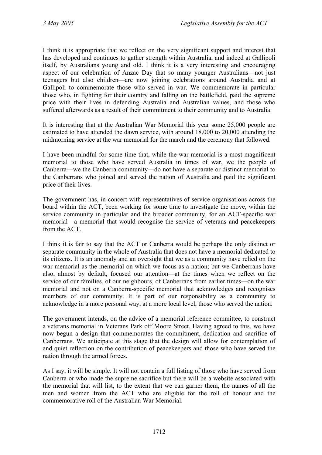I think it is appropriate that we reflect on the very significant support and interest that has developed and continues to gather strength within Australia, and indeed at Gallipoli itself, by Australians young and old. I think it is a very interesting and encouraging aspect of our celebration of Anzac Day that so many younger Australians—not just teenagers but also children—are now joining celebrations around Australia and at Gallipoli to commemorate those who served in war. We commemorate in particular those who, in fighting for their country and falling on the battlefield, paid the supreme price with their lives in defending Australia and Australian values, and those who suffered afterwards as a result of their commitment to their community and to Australia.

It is interesting that at the Australian War Memorial this year some 25,000 people are estimated to have attended the dawn service, with around 18,000 to 20,000 attending the midmorning service at the war memorial for the march and the ceremony that followed.

I have been mindful for some time that, while the war memorial is a most magnificent memorial to those who have served Australia in times of war, we the people of Canberra—we the Canberra community—do not have a separate or distinct memorial to the Canberrans who joined and served the nation of Australia and paid the significant price of their lives.

The government has, in concert with representatives of service organisations across the board within the ACT, been working for some time to investigate the move, within the service community in particular and the broader community, for an ACT-specific war memorial—a memorial that would recognise the service of veterans and peacekeepers from the ACT.

I think it is fair to say that the ACT or Canberra would be perhaps the only distinct or separate community in the whole of Australia that does not have a memorial dedicated to its citizens. It is an anomaly and an oversight that we as a community have relied on the war memorial as the memorial on which we focus as a nation; but we Canberrans have also, almost by default, focused our attention—at the times when we reflect on the service of our families, of our neighbours, of Canberrans from earlier times—on the war memorial and not on a Canberra-specific memorial that acknowledges and recognises members of our community. It is part of our responsibility as a community to acknowledge in a more personal way, at a more local level, those who served the nation.

The government intends, on the advice of a memorial reference committee, to construct a veterans memorial in Veterans Park off Moore Street. Having agreed to this, we have now begun a design that commemorates the commitment, dedication and sacrifice of Canberrans. We anticipate at this stage that the design will allow for contemplation of and quiet reflection on the contribution of peacekeepers and those who have served the nation through the armed forces.

As I say, it will be simple. It will not contain a full listing of those who have served from Canberra or who made the supreme sacrifice but there will be a website associated with the memorial that will list, to the extent that we can garner them, the names of all the men and women from the ACT who are eligible for the roll of honour and the commemorative roll of the Australian War Memorial.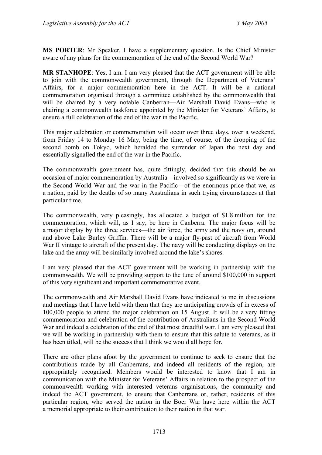**MS PORTER**: Mr Speaker, I have a supplementary question. Is the Chief Minister aware of any plans for the commemoration of the end of the Second World War?

**MR STANHOPE**: Yes, I am. I am very pleased that the ACT government will be able to join with the commonwealth government, through the Department of Veterans' Affairs, for a major commemoration here in the ACT. It will be a national commemoration organised through a committee established by the commonwealth that will be chaired by a very notable Canberran—Air Marshall David Evans—who is chairing a commonwealth taskforce appointed by the Minister for Veterans' Affairs, to ensure a full celebration of the end of the war in the Pacific.

This major celebration or commemoration will occur over three days, over a weekend, from Friday 14 to Monday 16 May, being the time, of course, of the dropping of the second bomb on Tokyo, which heralded the surrender of Japan the next day and essentially signalled the end of the war in the Pacific.

The commonwealth government has, quite fittingly, decided that this should be an occasion of major commemoration by Australia—involved so significantly as we were in the Second World War and the war in the Pacific—of the enormous price that we, as a nation, paid by the deaths of so many Australians in such trying circumstances at that particular time.

The commonwealth, very pleasingly, has allocated a budget of \$1.8 million for the commemoration, which will, as I say, be here in Canberra. The major focus will be a major display by the three services—the air force, the army and the navy on, around and above Lake Burley Griffin. There will be a major fly-past of aircraft from World War II vintage to aircraft of the present day. The navy will be conducting displays on the lake and the army will be similarly involved around the lake's shores.

I am very pleased that the ACT government will be working in partnership with the commonwealth. We will be providing support to the tune of around \$100,000 in support of this very significant and important commemorative event.

The commonwealth and Air Marshall David Evans have indicated to me in discussions and meetings that I have held with them that they are anticipating crowds of in excess of 100,000 people to attend the major celebration on 15 August. It will be a very fitting commemoration and celebration of the contribution of Australians in the Second World War and indeed a celebration of the end of that most dreadful war. I am very pleased that we will be working in partnership with them to ensure that this salute to veterans, as it has been titled, will be the success that I think we would all hope for.

There are other plans afoot by the government to continue to seek to ensure that the contributions made by all Canberrans, and indeed all residents of the region, are appropriately recognised. Members would be interested to know that I am in communication with the Minister for Veterans' Affairs in relation to the prospect of the commonwealth working with interested veterans organisations, the community and indeed the ACT government, to ensure that Canberrans or, rather, residents of this particular region, who served the nation in the Boer War have here within the ACT a memorial appropriate to their contribution to their nation in that war.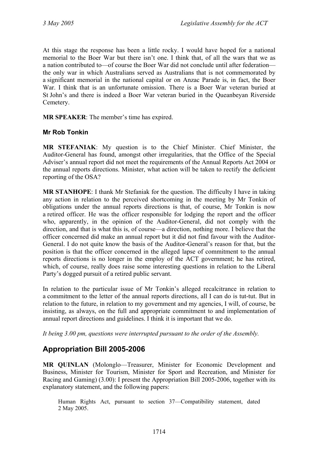At this stage the response has been a little rocky. I would have hoped for a national memorial to the Boer War but there isn't one. I think that, of all the wars that we as a nation contributed to—of course the Boer War did not conclude until after federation the only war in which Australians served as Australians that is not commemorated by a significant memorial in the national capital or on Anzac Parade is, in fact, the Boer War. I think that is an unfortunate omission. There is a Boer War veteran buried at St John's and there is indeed a Boer War veteran buried in the Queanbeyan Riverside Cemetery.

**MR SPEAKER**: The member's time has expired.

### <span id="page-41-0"></span>**Mr Rob Tonkin**

**MR STEFANIAK**: My question is to the Chief Minister. Chief Minister, the Auditor-General has found, amongst other irregularities, that the Office of the Special Adviser's annual report did not meet the requirements of the Annual Reports Act 2004 or the annual reports directions. Minister, what action will be taken to rectify the deficient reporting of the OSA?

**MR STANHOPE**: I thank Mr Stefaniak for the question. The difficulty I have in taking any action in relation to the perceived shortcoming in the meeting by Mr Tonkin of obligations under the annual reports directions is that, of course, Mr Tonkin is now a retired officer. He was the officer responsible for lodging the report and the officer who, apparently, in the opinion of the Auditor-General, did not comply with the direction, and that is what this is, of course—a direction, nothing more. I believe that the officer concerned did make an annual report but it did not find favour with the Auditor-General. I do not quite know the basis of the Auditor-General's reason for that, but the position is that the officer concerned in the alleged lapse of commitment to the annual reports directions is no longer in the employ of the ACT government; he has retired, which, of course, really does raise some interesting questions in relation to the Liberal Party's dogged pursuit of a retired public servant.

In relation to the particular issue of Mr Tonkin's alleged recalcitrance in relation to a commitment to the letter of the annual reports directions, all I can do is tut-tut. But in relation to the future, in relation to my government and my agencies, I will, of course, be insisting, as always, on the full and appropriate commitment to and implementation of annual report directions and guidelines. I think it is important that we do.

*It being 3.00 pm, questions were interrupted pursuant to the order of the Assembly.* 

## **Appropriation Bill 2005-2006**

**MR QUINLAN** (Molonglo—Treasurer, Minister for Economic Development and Business, Minister for Tourism, Minister for Sport and Recreation, and Minister for Racing and Gaming) (3.00): I present the Appropriation Bill 2005-2006, together with its explanatory statement, and the following papers:

Human Rights Act, pursuant to section 37—Compatibility statement, dated 2 May 2005.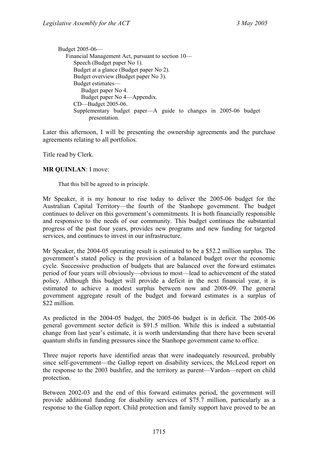```
Budget 2005-06— 
Financial Management Act, pursuant to section 10— 
   Speech (Budget paper No 1). 
   Budget at a glance (Budget paper No 2). 
   Budget overview (Budget paper No 3). 
   Budget estimates— 
      Budget paper No 4. 
      Budget paper No 4—Appendix. 
   CD—Budget 2005-06. 
   Supplementary budget paper—A guide to changes in 2005-06 budget 
         presentation.
```
Later this afternoon, I will be presenting the ownership agreements and the purchase agreements relating to all portfolios.

Title read by Clerk.

#### **MR QUINLAN**: I move:

That this bill be agreed to in principle.

Mr Speaker, it is my honour to rise today to deliver the 2005-06 budget for the Australian Capital Territory—the fourth of the Stanhope government. The budget continues to deliver on this government's commitments. It is both financially responsible and responsive to the needs of our community. This budget continues the substantial progress of the past four years, provides new programs and new funding for targeted services, and continues to invest in our infrastructure.

Mr Speaker, the 2004-05 operating result is estimated to be a \$52.2 million surplus. The government's stated policy is the provision of a balanced budget over the economic cycle. Successive production of budgets that are balanced over the forward estimates period of four years will obviously—obvious to most—lead to achievement of the stated policy. Although this budget will provide a deficit in the next financial year, it is estimated to achieve a modest surplus between now and 2008-09. The general government aggregate result of the budget and forward estimates is a surplus of \$22 million.

As predicted in the 2004-05 budget, the 2005-06 budget is in deficit. The 2005-06 general government sector deficit is \$91.5 million. While this is indeed a substantial change from last year's estimate, it is worth understanding that there have been several quantum shifts in funding pressures since the Stanhope government came to office.

Three major reports have identified areas that were inadequately resourced, probably since self-government—the Gallop report on disability services, the McLeod report on the response to the 2003 bushfire, and the territory as parent—Vardon—report on child protection.

Between 2002-03 and the end of this forward estimates period, the government will provide additional funding for disability services of \$75.7 million, particularly as a response to the Gallop report. Child protection and family support have proved to be an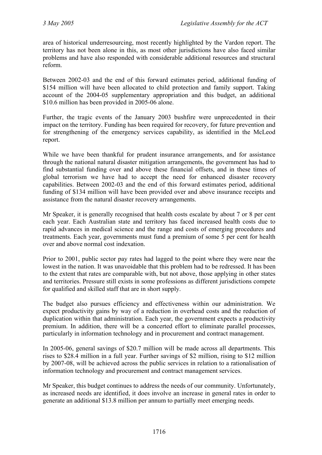area of historical underresourcing, most recently highlighted by the Vardon report. The territory has not been alone in this, as most other jurisdictions have also faced similar problems and have also responded with considerable additional resources and structural reform.

Between 2002-03 and the end of this forward estimates period, additional funding of \$154 million will have been allocated to child protection and family support. Taking account of the 2004-05 supplementary appropriation and this budget, an additional \$10.6 million has been provided in 2005-06 alone.

Further, the tragic events of the January 2003 bushfire were unprecedented in their impact on the territory. Funding has been required for recovery, for future prevention and for strengthening of the emergency services capability, as identified in the McLeod report.

While we have been thankful for prudent insurance arrangements, and for assistance through the national natural disaster mitigation arrangements, the government has had to find substantial funding over and above these financial offsets, and in these times of global terrorism we have had to accept the need for enhanced disaster recovery capabilities. Between 2002-03 and the end of this forward estimates period, additional funding of \$134 million will have been provided over and above insurance receipts and assistance from the natural disaster recovery arrangements.

Mr Speaker, it is generally recognised that health costs escalate by about 7 or 8 per cent each year. Each Australian state and territory has faced increased health costs due to rapid advances in medical science and the range and costs of emerging procedures and treatments. Each year, governments must fund a premium of some 5 per cent for health over and above normal cost indexation.

Prior to 2001, public sector pay rates had lagged to the point where they were near the lowest in the nation. It was unavoidable that this problem had to be redressed. It has been to the extent that rates are comparable with, but not above, those applying in other states and territories. Pressure still exists in some professions as different jurisdictions compete for qualified and skilled staff that are in short supply.

The budget also pursues efficiency and effectiveness within our administration. We expect productivity gains by way of a reduction in overhead costs and the reduction of duplication within that administration. Each year, the government expects a productivity premium. In addition, there will be a concerted effort to eliminate parallel processes, particularly in information technology and in procurement and contract management.

In 2005-06, general savings of \$20.7 million will be made across all departments. This rises to \$28.4 million in a full year. Further savings of \$2 million, rising to \$12 million by 2007-08, will be achieved across the public services in relation to a rationalisation of information technology and procurement and contract management services.

Mr Speaker, this budget continues to address the needs of our community. Unfortunately, as increased needs are identified, it does involve an increase in general rates in order to generate an additional \$13.8 million per annum to partially meet emerging needs.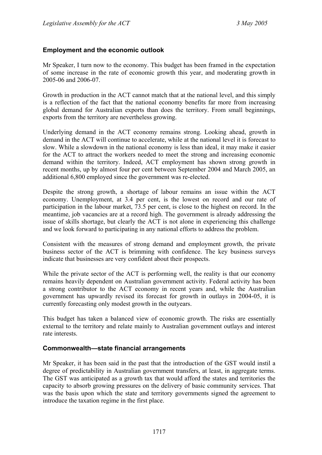#### <span id="page-44-0"></span>**Employment and the economic outlook**

Mr Speaker, I turn now to the economy. This budget has been framed in the expectation of some increase in the rate of economic growth this year, and moderating growth in 2005-06 and 2006-07.

Growth in production in the ACT cannot match that at the national level, and this simply is a reflection of the fact that the national economy benefits far more from increasing global demand for Australian exports than does the territory. From small beginnings, exports from the territory are nevertheless growing.

Underlying demand in the ACT economy remains strong. Looking ahead, growth in demand in the ACT will continue to accelerate, while at the national level it is forecast to slow. While a slowdown in the national economy is less than ideal, it may make it easier for the ACT to attract the workers needed to meet the strong and increasing economic demand within the territory. Indeed, ACT employment has shown strong growth in recent months, up by almost four per cent between September 2004 and March 2005, an additional 6,800 employed since the government was re-elected.

Despite the strong growth, a shortage of labour remains an issue within the ACT economy. Unemployment, at 3.4 per cent, is the lowest on record and our rate of participation in the labour market, 73.5 per cent, is close to the highest on record. In the meantime, job vacancies are at a record high. The government is already addressing the issue of skills shortage, but clearly the ACT is not alone in experiencing this challenge and we look forward to participating in any national efforts to address the problem.

Consistent with the measures of strong demand and employment growth, the private business sector of the ACT is brimming with confidence. The key business surveys indicate that businesses are very confident about their prospects.

While the private sector of the ACT is performing well, the reality is that our economy remains heavily dependent on Australian government activity. Federal activity has been a strong contributor to the ACT economy in recent years and, while the Australian government has upwardly revised its forecast for growth in outlays in 2004-05, it is currently forecasting only modest growth in the outyears.

This budget has taken a balanced view of economic growth. The risks are essentially external to the territory and relate mainly to Australian government outlays and interest rate interests.

#### <span id="page-44-1"></span>**Commonwealth—state financial arrangements**

Mr Speaker, it has been said in the past that the introduction of the GST would instil a degree of predictability in Australian government transfers, at least, in aggregate terms. The GST was anticipated as a growth tax that would afford the states and territories the capacity to absorb growing pressures on the delivery of basic community services. That was the basis upon which the state and territory governments signed the agreement to introduce the taxation regime in the first place.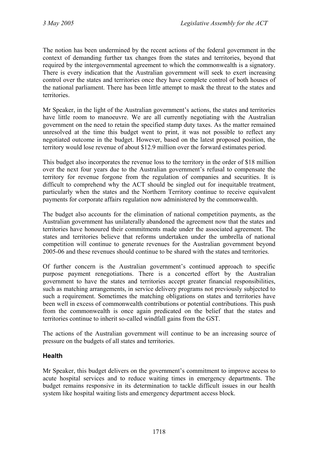The notion has been undermined by the recent actions of the federal government in the context of demanding further tax changes from the states and territories, beyond that required by the intergovernmental agreement to which the commonwealth is a signatory. There is every indication that the Australian government will seek to exert increasing control over the states and territories once they have complete control of both houses of the national parliament. There has been little attempt to mask the threat to the states and territories.

Mr Speaker, in the light of the Australian government's actions, the states and territories have little room to manoeuvre. We are all currently negotiating with the Australian government on the need to retain the specified stamp duty taxes. As the matter remained unresolved at the time this budget went to print, it was not possible to reflect any negotiated outcome in the budget. However, based on the latest proposed position, the territory would lose revenue of about \$12.9 million over the forward estimates period.

This budget also incorporates the revenue loss to the territory in the order of \$18 million over the next four years due to the Australian government's refusal to compensate the territory for revenue forgone from the regulation of companies and securities. It is difficult to comprehend why the ACT should be singled out for inequitable treatment, particularly when the states and the Northern Territory continue to receive equivalent payments for corporate affairs regulation now administered by the commonwealth.

The budget also accounts for the elimination of national competition payments, as the Australian government has unilaterally abandoned the agreement now that the states and territories have honoured their commitments made under the associated agreement. The states and territories believe that reforms undertaken under the umbrella of national competition will continue to generate revenues for the Australian government beyond 2005-06 and these revenues should continue to be shared with the states and territories.

Of further concern is the Australian government's continued approach to specific purpose payment renegotiations. There is a concerted effort by the Australian government to have the states and territories accept greater financial responsibilities, such as matching arrangements, in service delivery programs not previously subjected to such a requirement. Sometimes the matching obligations on states and territories have been well in excess of commonwealth contributions or potential contributions. This push from the commonwealth is once again predicated on the belief that the states and territories continue to inherit so-called windfall gains from the GST.

The actions of the Australian government will continue to be an increasing source of pressure on the budgets of all states and territories.

## <span id="page-45-0"></span>**Health**

Mr Speaker, this budget delivers on the government's commitment to improve access to acute hospital services and to reduce waiting times in emergency departments. The budget remains responsive in its determination to tackle difficult issues in our health system like hospital waiting lists and emergency department access block.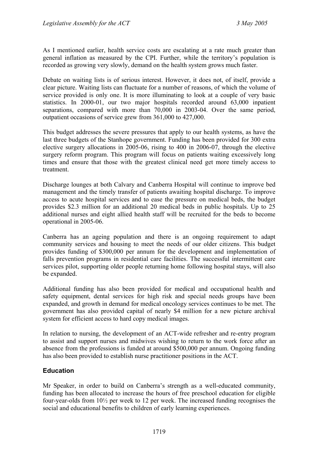As I mentioned earlier, health service costs are escalating at a rate much greater than general inflation as measured by the CPI. Further, while the territory's population is recorded as growing very slowly, demand on the health system grows much faster.

Debate on waiting lists is of serious interest. However, it does not, of itself, provide a clear picture. Waiting lists can fluctuate for a number of reasons, of which the volume of service provided is only one. It is more illuminating to look at a couple of very basic statistics. In 2000-01, our two major hospitals recorded around 63,000 inpatient separations, compared with more than 70,000 in 2003-04. Over the same period, outpatient occasions of service grew from 361,000 to 427,000.

This budget addresses the severe pressures that apply to our health systems, as have the last three budgets of the Stanhope government. Funding has been provided for 300 extra elective surgery allocations in 2005-06, rising to 400 in 2006-07, through the elective surgery reform program. This program will focus on patients waiting excessively long times and ensure that those with the greatest clinical need get more timely access to treatment.

Discharge lounges at both Calvary and Canberra Hospital will continue to improve bed management and the timely transfer of patients awaiting hospital discharge. To improve access to acute hospital services and to ease the pressure on medical beds, the budget provides \$2.3 million for an additional 20 medical beds in public hospitals. Up to 25 additional nurses and eight allied health staff will be recruited for the beds to become operational in 2005-06.

Canberra has an ageing population and there is an ongoing requirement to adapt community services and housing to meet the needs of our older citizens. This budget provides funding of \$300,000 per annum for the development and implementation of falls prevention programs in residential care facilities. The successful intermittent care services pilot, supporting older people returning home following hospital stays, will also be expanded.

Additional funding has also been provided for medical and occupational health and safety equipment, dental services for high risk and special needs groups have been expanded, and growth in demand for medical oncology services continues to be met. The government has also provided capital of nearly \$4 million for a new picture archival system for efficient access to hard copy medical images.

In relation to nursing, the development of an ACT-wide refresher and re-entry program to assist and support nurses and midwives wishing to return to the work force after an absence from the professions is funded at around \$500,000 per annum. Ongoing funding has also been provided to establish nurse practitioner positions in the ACT.

## <span id="page-46-0"></span>**Education**

Mr Speaker, in order to build on Canberra's strength as a well-educated community, funding has been allocated to increase the hours of free preschool education for eligible four-year-olds from 10½ per week to 12 per week. The increased funding recognises the social and educational benefits to children of early learning experiences.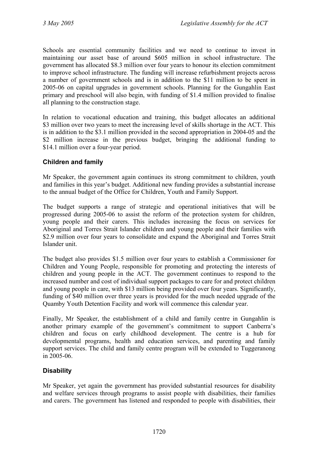Schools are essential community facilities and we need to continue to invest in maintaining our asset base of around \$605 million in school infrastructure. The government has allocated \$8.3 million over four years to honour its election commitment to improve school infrastructure. The funding will increase refurbishment projects across a number of government schools and is in addition to the \$11 million to be spent in 2005-06 on capital upgrades in government schools. Planning for the Gungahlin East primary and preschool will also begin, with funding of \$1.4 million provided to finalise all planning to the construction stage.

In relation to vocational education and training, this budget allocates an additional \$3 million over two years to meet the increasing level of skills shortage in the ACT. This is in addition to the \$3.1 million provided in the second appropriation in 2004-05 and the \$2 million increase in the previous budget, bringing the additional funding to \$14.1 million over a four-year period.

## <span id="page-47-0"></span>**Children and family**

Mr Speaker, the government again continues its strong commitment to children, youth and families in this year's budget. Additional new funding provides a substantial increase to the annual budget of the Office for Children, Youth and Family Support.

The budget supports a range of strategic and operational initiatives that will be progressed during 2005-06 to assist the reform of the protection system for children, young people and their carers. This includes increasing the focus on services for Aboriginal and Torres Strait Islander children and young people and their families with \$2.9 million over four years to consolidate and expand the Aboriginal and Torres Strait Islander unit.

The budget also provides \$1.5 million over four years to establish a Commissioner for Children and Young People, responsible for promoting and protecting the interests of children and young people in the ACT. The government continues to respond to the increased number and cost of individual support packages to care for and protect children and young people in care, with \$13 million being provided over four years. Significantly, funding of \$40 million over three years is provided for the much needed upgrade of the Quamby Youth Detention Facility and work will commence this calendar year.

Finally, Mr Speaker, the establishment of a child and family centre in Gungahlin is another primary example of the government's commitment to support Canberra's children and focus on early childhood development. The centre is a hub for developmental programs, health and education services, and parenting and family support services. The child and family centre program will be extended to Tuggeranong in 2005-06.

## <span id="page-47-1"></span>**Disability**

Mr Speaker, yet again the government has provided substantial resources for disability and welfare services through programs to assist people with disabilities, their families and carers. The government has listened and responded to people with disabilities, their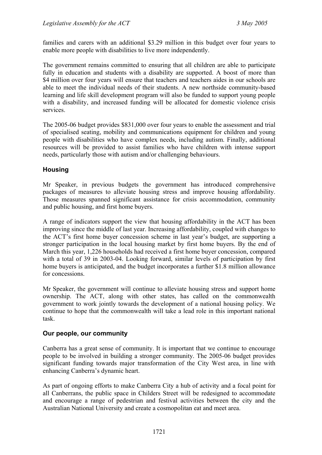families and carers with an additional \$3.29 million in this budget over four years to enable more people with disabilities to live more independently.

The government remains committed to ensuring that all children are able to participate fully in education and students with a disability are supported. A boost of more than \$4 million over four years will ensure that teachers and teachers aides in our schools are able to meet the individual needs of their students. A new northside community-based learning and life skill development program will also be funded to support young people with a disability, and increased funding will be allocated for domestic violence crisis services.

The 2005-06 budget provides \$831,000 over four years to enable the assessment and trial of specialised seating, mobility and communications equipment for children and young people with disabilities who have complex needs, including autism. Finally, additional resources will be provided to assist families who have children with intense support needs, particularly those with autism and/or challenging behaviours.

## <span id="page-48-0"></span>**Housing**

Mr Speaker, in previous budgets the government has introduced comprehensive packages of measures to alleviate housing stress and improve housing affordability. Those measures spanned significant assistance for crisis accommodation, community and public housing, and first home buyers.

A range of indicators support the view that housing affordability in the ACT has been improving since the middle of last year. Increasing affordability, coupled with changes to the ACT's first home buyer concession scheme in last year's budget, are supporting a stronger participation in the local housing market by first home buyers. By the end of March this year, 1,226 households had received a first home buyer concession, compared with a total of 39 in 2003-04. Looking forward, similar levels of participation by first home buyers is anticipated, and the budget incorporates a further \$1.8 million allowance for concessions.

Mr Speaker, the government will continue to alleviate housing stress and support home ownership. The ACT, along with other states, has called on the commonwealth government to work jointly towards the development of a national housing policy. We continue to hope that the commonwealth will take a lead role in this important national task.

## <span id="page-48-1"></span>**Our people, our community**

Canberra has a great sense of community. It is important that we continue to encourage people to be involved in building a stronger community. The 2005-06 budget provides significant funding towards major transformation of the City West area, in line with enhancing Canberra's dynamic heart.

As part of ongoing efforts to make Canberra City a hub of activity and a focal point for all Canberrans, the public space in Childers Street will be redesigned to accommodate and encourage a range of pedestrian and festival activities between the city and the Australian National University and create a cosmopolitan eat and meet area.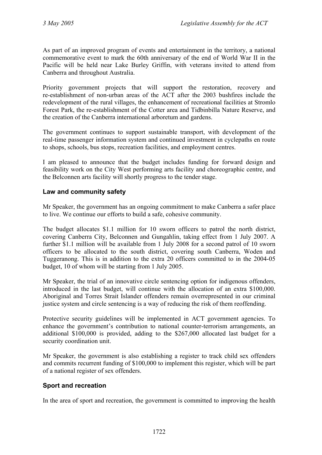As part of an improved program of events and entertainment in the territory, a national commemorative event to mark the 60th anniversary of the end of World War II in the Pacific will be held near Lake Burley Griffin, with veterans invited to attend from Canberra and throughout Australia.

Priority government projects that will support the restoration, recovery and re-establishment of non-urban areas of the ACT after the 2003 bushfires include the redevelopment of the rural villages, the enhancement of recreational facilities at Stromlo Forest Park, the re-establishment of the Cotter area and Tidbinbilla Nature Reserve, and the creation of the Canberra international arboretum and gardens.

The government continues to support sustainable transport, with development of the real-time passenger information system and continued investment in cyclepaths en route to shops, schools, bus stops, recreation facilities, and employment centres.

I am pleased to announce that the budget includes funding for forward design and feasibility work on the City West performing arts facility and choreographic centre, and the Belconnen arts facility will shortly progress to the tender stage.

## <span id="page-49-0"></span>**Law and community safety**

Mr Speaker, the government has an ongoing commitment to make Canberra a safer place to live. We continue our efforts to build a safe, cohesive community.

The budget allocates \$1.1 million for 10 sworn officers to patrol the north district, covering Canberra City, Belconnen and Gungahlin, taking effect from 1 July 2007. A further \$1.1 million will be available from 1 July 2008 for a second patrol of 10 sworn officers to be allocated to the south district, covering south Canberra, Woden and Tuggeranong. This is in addition to the extra 20 officers committed to in the 2004-05 budget, 10 of whom will be starting from 1 July 2005.

Mr Speaker, the trial of an innovative circle sentencing option for indigenous offenders, introduced in the last budget, will continue with the allocation of an extra \$100,000. Aboriginal and Torres Strait Islander offenders remain overrepresented in our criminal justice system and circle sentencing is a way of reducing the risk of them reoffending.

Protective security guidelines will be implemented in ACT government agencies. To enhance the government's contribution to national counter-terrorism arrangements, an additional \$100,000 is provided, adding to the \$267,000 allocated last budget for a security coordination unit.

Mr Speaker, the government is also establishing a register to track child sex offenders and commits recurrent funding of \$100,000 to implement this register, which will be part of a national register of sex offenders.

## <span id="page-49-1"></span>**Sport and recreation**

In the area of sport and recreation, the government is committed to improving the health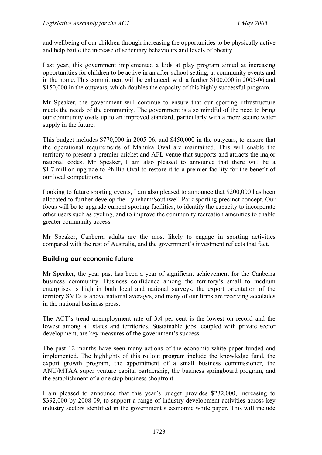and wellbeing of our children through increasing the opportunities to be physically active and help battle the increase of sedentary behaviours and levels of obesity.

Last year, this government implemented a kids at play program aimed at increasing opportunities for children to be active in an after-school setting, at community events and in the home. This commitment will be enhanced, with a further \$100,000 in 2005-06 and \$150,000 in the outvears, which doubles the capacity of this highly successful program.

Mr Speaker, the government will continue to ensure that our sporting infrastructure meets the needs of the community. The government is also mindful of the need to bring our community ovals up to an improved standard, particularly with a more secure water supply in the future.

This budget includes \$770,000 in 2005-06, and \$450,000 in the outyears, to ensure that the operational requirements of Manuka Oval are maintained. This will enable the territory to present a premier cricket and AFL venue that supports and attracts the major national codes. Mr Speaker, I am also pleased to announce that there will be a \$1.7 million upgrade to Phillip Oval to restore it to a premier facility for the benefit of our local competitions.

Looking to future sporting events, I am also pleased to announce that \$200,000 has been allocated to further develop the Lyneham/Southwell Park sporting precinct concept. Our focus will be to upgrade current sporting facilities, to identify the capacity to incorporate other users such as cycling, and to improve the community recreation amenities to enable greater community access.

Mr Speaker, Canberra adults are the most likely to engage in sporting activities compared with the rest of Australia, and the government's investment reflects that fact.

#### <span id="page-50-0"></span>**Building our economic future**

Mr Speaker, the year past has been a year of significant achievement for the Canberra business community. Business confidence among the territory's small to medium enterprises is high in both local and national surveys, the export orientation of the territory SMEs is above national averages, and many of our firms are receiving accolades in the national business press.

The ACT's trend unemployment rate of 3.4 per cent is the lowest on record and the lowest among all states and territories. Sustainable jobs, coupled with private sector development, are key measures of the government's success.

The past 12 months have seen many actions of the economic white paper funded and implemented. The highlights of this rollout program include the knowledge fund, the export growth program, the appointment of a small business commissioner, the ANU/MTAA super venture capital partnership, the business springboard program, and the establishment of a one stop business shopfront.

I am pleased to announce that this year's budget provides \$232,000, increasing to \$392,000 by 2008-09, to support a range of industry development activities across key industry sectors identified in the government's economic white paper. This will include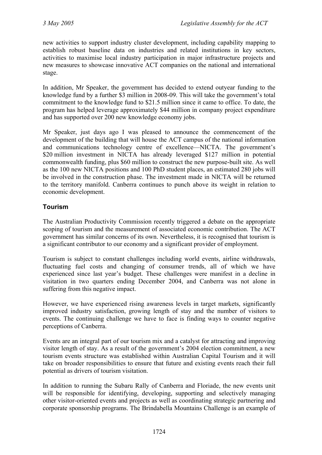new activities to support industry cluster development, including capability mapping to establish robust baseline data on industries and related institutions in key sectors, activities to maximise local industry participation in major infrastructure projects and new measures to showcase innovative ACT companies on the national and international stage.

In addition, Mr Speaker, the government has decided to extend outyear funding to the knowledge fund by a further \$3 million in 2008-09. This will take the government's total commitment to the knowledge fund to \$21.5 million since it came to office. To date, the program has helped leverage approximately \$44 million in company project expenditure and has supported over 200 new knowledge economy jobs.

Mr Speaker, just days ago I was pleased to announce the commencement of the development of the building that will house the ACT campus of the national information and communications technology centre of excellence—NICTA. The government's \$20 million investment in NICTA has already leveraged \$127 million in potential commonwealth funding, plus \$60 million to construct the new purpose-built site. As well as the 100 new NICTA positions and 100 PhD student places, an estimated 280 jobs will be involved in the construction phase. The investment made in NICTA will be returned to the territory manifold. Canberra continues to punch above its weight in relation to economic development.

## <span id="page-51-0"></span>**Tourism**

The Australian Productivity Commission recently triggered a debate on the appropriate scoping of tourism and the measurement of associated economic contribution. The ACT government has similar concerns of its own. Nevertheless, it is recognised that tourism is a significant contributor to our economy and a significant provider of employment.

Tourism is subject to constant challenges including world events, airline withdrawals, fluctuating fuel costs and changing of consumer trends, all of which we have experienced since last year's budget. These challenges were manifest in a decline in visitation in two quarters ending December 2004, and Canberra was not alone in suffering from this negative impact.

However, we have experienced rising awareness levels in target markets, significantly improved industry satisfaction, growing length of stay and the number of visitors to events. The continuing challenge we have to face is finding ways to counter negative perceptions of Canberra.

Events are an integral part of our tourism mix and a catalyst for attracting and improving visitor length of stay. As a result of the government's 2004 election commitment, a new tourism events structure was established within Australian Capital Tourism and it will take on broader responsibilities to ensure that future and existing events reach their full potential as drivers of tourism visitation.

In addition to running the Subaru Rally of Canberra and Floriade, the new events unit will be responsible for identifying, developing, supporting and selectively managing other visitor-oriented events and projects as well as coordinating strategic partnering and corporate sponsorship programs. The Brindabella Mountains Challenge is an example of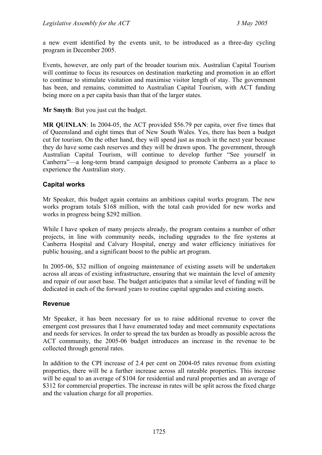a new event identified by the events unit, to be introduced as a three-day cycling program in December 2005.

Events, however, are only part of the broader tourism mix. Australian Capital Tourism will continue to focus its resources on destination marketing and promotion in an effort to continue to stimulate visitation and maximise visitor length of stay. The government has been, and remains, committed to Australian Capital Tourism, with ACT funding being more on a per capita basis than that of the larger states.

**Mr Smyth**: But you just cut the budget.

**MR QUINLAN**: In 2004-05, the ACT provided \$56.79 per capita, over five times that of Queensland and eight times that of New South Wales. Yes, there has been a budget cut for tourism. On the other hand, they will spend just as much in the next year because they do have some cash reserves and they will be drawn upon. The government, through Australian Capital Tourism, will continue to develop further "See yourself in Canberra"—a long-term brand campaign designed to promote Canberra as a place to experience the Australian story.

### <span id="page-52-0"></span>**Capital works**

Mr Speaker, this budget again contains an ambitious capital works program. The new works program totals \$168 million, with the total cash provided for new works and works in progress being \$292 million.

While I have spoken of many projects already, the program contains a number of other projects, in line with community needs, including upgrades to the fire systems at Canberra Hospital and Calvary Hospital, energy and water efficiency initiatives for public housing, and a significant boost to the public art program.

In 2005-06, \$32 million of ongoing maintenance of existing assets will be undertaken across all areas of existing infrastructure, ensuring that we maintain the level of amenity and repair of our asset base. The budget anticipates that a similar level of funding will be dedicated in each of the forward years to routine capital upgrades and existing assets.

#### <span id="page-52-1"></span>**Revenue**

Mr Speaker, it has been necessary for us to raise additional revenue to cover the emergent cost pressures that I have enumerated today and meet community expectations and needs for services. In order to spread the tax burden as broadly as possible across the ACT community, the 2005-06 budget introduces an increase in the revenue to be collected through general rates.

In addition to the CPI increase of 2.4 per cent on 2004-05 rates revenue from existing properties, there will be a further increase across all rateable properties. This increase will be equal to an average of \$104 for residential and rural properties and an average of \$312 for commercial properties. The increase in rates will be split across the fixed charge and the valuation charge for all properties.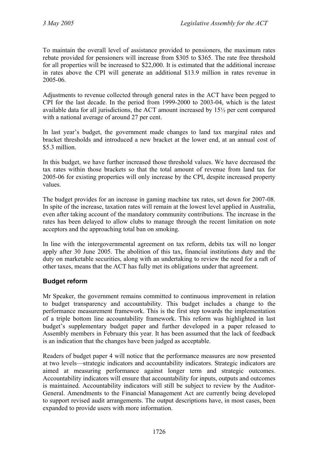To maintain the overall level of assistance provided to pensioners, the maximum rates rebate provided for pensioners will increase from \$305 to \$365. The rate free threshold for all properties will be increased to \$22,000. It is estimated that the additional increase in rates above the CPI will generate an additional \$13.9 million in rates revenue in 2005-06.

Adjustments to revenue collected through general rates in the ACT have been pegged to CPI for the last decade. In the period from 1999-2000 to 2003-04, which is the latest available data for all jurisdictions, the ACT amount increased by 15½ per cent compared with a national average of around 27 per cent.

In last year's budget, the government made changes to land tax marginal rates and bracket thresholds and introduced a new bracket at the lower end, at an annual cost of \$5.3 million.

In this budget, we have further increased those threshold values. We have decreased the tax rates within those brackets so that the total amount of revenue from land tax for 2005-06 for existing properties will only increase by the CPI, despite increased property values.

The budget provides for an increase in gaming machine tax rates, set down for 2007-08. In spite of the increase, taxation rates will remain at the lowest level applied in Australia, even after taking account of the mandatory community contributions. The increase in the rates has been delayed to allow clubs to manage through the recent limitation on note acceptors and the approaching total ban on smoking.

In line with the intergovernmental agreement on tax reform, debits tax will no longer apply after 30 June 2005. The abolition of this tax, financial institutions duty and the duty on marketable securities, along with an undertaking to review the need for a raft of other taxes, means that the ACT has fully met its obligations under that agreement.

## <span id="page-53-0"></span>**Budget reform**

Mr Speaker, the government remains committed to continuous improvement in relation to budget transparency and accountability. This budget includes a change to the performance measurement framework. This is the first step towards the implementation of a triple bottom line accountability framework. This reform was highlighted in last budget's supplementary budget paper and further developed in a paper released to Assembly members in February this year. It has been assumed that the lack of feedback is an indication that the changes have been judged as acceptable.

Readers of budget paper 4 will notice that the performance measures are now presented at two levels—strategic indicators and accountability indicators. Strategic indicators are aimed at measuring performance against longer term and strategic outcomes. Accountability indicators will ensure that accountability for inputs, outputs and outcomes is maintained. Accountability indicators will still be subject to review by the Auditor-General. Amendments to the Financial Management Act are currently being developed to support revised audit arrangements. The output descriptions have, in most cases, been expanded to provide users with more information.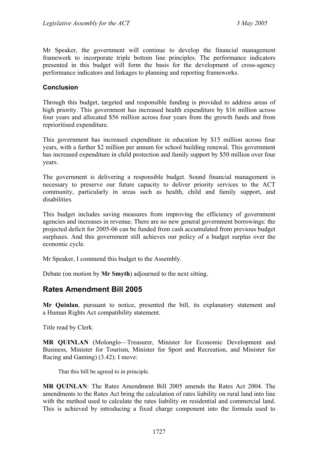Mr Speaker, the government will continue to develop the financial management framework to incorporate triple bottom line principles. The performance indicators presented in this budget will form the basis for the development of cross-agency performance indicators and linkages to planning and reporting frameworks.

#### <span id="page-54-0"></span>**Conclusion**

Through this budget, targeted and responsible funding is provided to address areas of high priority. This government has increased health expenditure by \$16 million across four years and allocated \$56 million across four years from the growth funds and from reprioritised expenditure.

This government has increased expenditure in education by \$15 million across four years, with a further \$2 million per annum for school building renewal. This government has increased expenditure in child protection and family support by \$50 million over four years.

The government is delivering a responsible budget. Sound financial management is necessary to preserve our future capacity to deliver priority services to the ACT community, particularly in areas such as health, child and family support, and disabilities.

This budget includes saving measures from improving the efficiency of government agencies and increases in revenue. There are no new general government borrowings: the projected deficit for 2005-06 can be funded from cash accumulated from previous budget surpluses. And this government still achieves our policy of a budget surplus over the economic cycle.

Mr Speaker, I commend this budget to the Assembly.

Debate (on motion by **Mr Smyth**) adjourned to the next sitting.

## <span id="page-54-1"></span>**Rates Amendment Bill 2005**

**Mr Quinlan**, pursuant to notice, presented the bill, its explanatory statement and a Human Rights Act compatibility statement.

Title read by Clerk.

**MR QUINLAN** (Molonglo—Treasurer, Minister for Economic Development and Business, Minister for Tourism, Minister for Sport and Recreation, and Minister for Racing and Gaming) (3.42): I move:

That this bill be agreed to in principle.

**MR QUINLAN**: The Rates Amendment Bill 2005 amends the Rates Act 2004. The amendments to the Rates Act bring the calculation of rates liability on rural land into line with the method used to calculate the rates liability on residential and commercial land. This is achieved by introducing a fixed charge component into the formula used to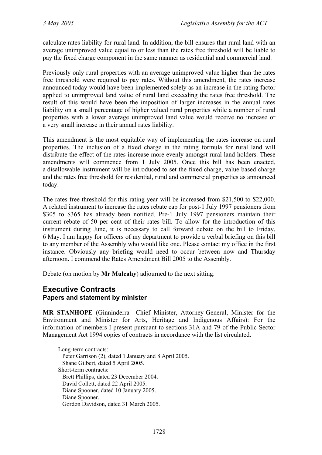calculate rates liability for rural land. In addition, the bill ensures that rural land with an average unimproved value equal to or less than the rates free threshold will be liable to pay the fixed charge component in the same manner as residential and commercial land.

Previously only rural properties with an average unimproved value higher than the rates free threshold were required to pay rates. Without this amendment, the rates increase announced today would have been implemented solely as an increase in the rating factor applied to unimproved land value of rural land exceeding the rates free threshold. The result of this would have been the imposition of larger increases in the annual rates liability on a small percentage of higher valued rural properties while a number of rural properties with a lower average unimproved land value would receive no increase or a very small increase in their annual rates liability.

This amendment is the most equitable way of implementing the rates increase on rural properties. The inclusion of a fixed charge in the rating formula for rural land will distribute the effect of the rates increase more evenly amongst rural land-holders. These amendments will commence from 1 July 2005. Once this bill has been enacted, a disallowable instrument will be introduced to set the fixed charge, value based charge and the rates free threshold for residential, rural and commercial properties as announced today.

The rates free threshold for this rating year will be increased from \$21,500 to \$22,000. A related instrument to increase the rates rebate cap for post-1 July 1997 pensioners from \$305 to \$365 has already been notified. Pre-1 July 1997 pensioners maintain their current rebate of 50 per cent of their rates bill. To allow for the introduction of this instrument during June, it is necessary to call forward debate on the bill to Friday, 6 May. I am happy for officers of my department to provide a verbal briefing on this bill to any member of the Assembly who would like one. Please contact my office in the first instance. Obviously any briefing would need to occur between now and Thursday afternoon. I commend the Rates Amendment Bill 2005 to the Assembly.

Debate (on motion by **Mr Mulcahy**) adjourned to the next sitting.

# <span id="page-55-0"></span>**Executive Contracts**

## **Papers and statement by minister**

**MR STANHOPE** (Ginninderra—Chief Minister, Attorney-General, Minister for the Environment and Minister for Arts, Heritage and Indigenous Affairs): For the information of members I present pursuant to sections 31A and 79 of the Public Sector Management Act 1994 copies of contracts in accordance with the list circulated.

Long-term contracts: Peter Garrison (2), dated 1 January and 8 April 2005. Shane Gilbert, dated 5 April 2005. Short-term contracts: Brett Phillips, dated 23 December 2004. David Collett, dated 22 April 2005. Diane Spooner, dated 10 January 2005. Diane Spooner. Gordon Davidson, dated 31 March 2005.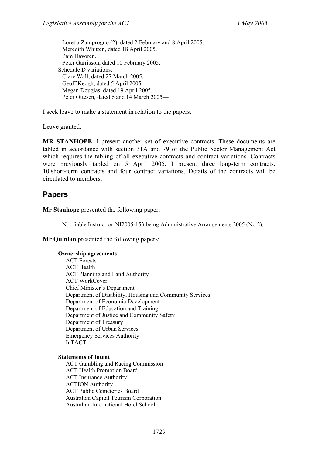Loretta Zamprogno (2), dated 2 February and 8 April 2005. Meredith Whitten, dated 18 April 2005. Pam Davoren. Peter Garrisson, dated 10 February 2005. Schedule D variations: Clare Wall, dated 27 March 2005. Geoff Keogh, dated 5 April 2005. Megan Douglas, dated 19 April 2005. Peter Ottesen, dated 6 and 14 March 2005—

I seek leave to make a statement in relation to the papers.

Leave granted.

**MR STANHOPE**: I present another set of executive contracts. These documents are tabled in accordance with section 31A and 79 of the Public Sector Management Act which requires the tabling of all executive contracts and contract variations. Contracts were previously tabled on 5 April 2005. I present three long-term contracts, 10 short-term contracts and four contract variations. Details of the contracts will be circulated to members.

## <span id="page-56-0"></span>**Papers**

**Mr Stanhope** presented the following paper:

Notifiable Instruction NI2005-153 being Administrative Arrangements 2005 (No 2).

**Mr Quinlan** presented the following papers:

#### **Ownership agreements**

ACT Forests ACT Health ACT Planning and Land Authority ACT WorkCover Chief Minister's Department Department of Disability, Housing and Community Services Department of Economic Development Department of Education and Training Department of Justice and Community Safety Department of Treasury Department of Urban Services Emergency Services Authority InTACT.

#### **Statements of Intent**

ACT Gambling and Racing Commission' ACT Health Promotion Board ACT Insurance Authority' ACTION Authority ACT Public Cemeteries Board Australian Capital Tourism Corporation Australian International Hotel School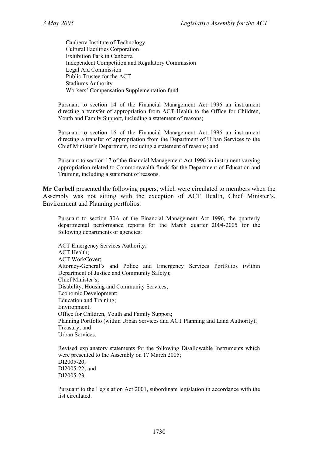Canberra Institute of Technology Cultural Facilities Corporation Exhibition Park in Canberra Independent Competition and Regulatory Commission Legal Aid Commission Public Trustee for the ACT Stadiums Authority Workers' Compensation Supplementation fund

Pursuant to section 14 of the Financial Management Act 1996 an instrument directing a transfer of appropriation from ACT Health to the Office for Children, Youth and Family Support, including a statement of reasons;

Pursuant to section 16 of the Financial Management Act 1996 an instrument directing a transfer of appropriation from the Department of Urban Services to the Chief Minister's Department, including a statement of reasons; and

Pursuant to section 17 of the financial Management Act 1996 an instrument varying appropriation related to Commonwealth funds for the Department of Education and Training, including a statement of reasons.

**Mr Corbell** presented the following papers, which were circulated to members when the Assembly was not sitting with the exception of ACT Health, Chief Minister's, Environment and Planning portfolios.

Pursuant to section 30A of the Financial Management Act 1996, the quarterly departmental performance reports for the March quarter 2004-2005 for the following departments or agencies:

ACT Emergency Services Authority; ACT Health; ACT WorkCover; Attorney-General's and Police and Emergency Services Portfolios (within Department of Justice and Community Safety); Chief Minister's; Disability, Housing and Community Services; Economic Development; Education and Training; Environment; Office for Children, Youth and Family Support; Planning Portfolio (within Urban Services and ACT Planning and Land Authority); Treasury; and Urban Services.

Revised explanatory statements for the following Disallowable Instruments which were presented to the Assembly on 17 March 2005; DI2005-20; DI2005-22; and DI2005-23.

Pursuant to the Legislation Act 2001, subordinate legislation in accordance with the list circulated.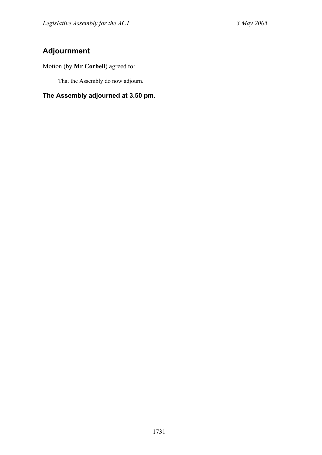# <span id="page-58-0"></span>**Adjournment**

Motion (by **Mr Corbell**) agreed to:

That the Assembly do now adjourn.

**The Assembly adjourned at 3.50 pm.**